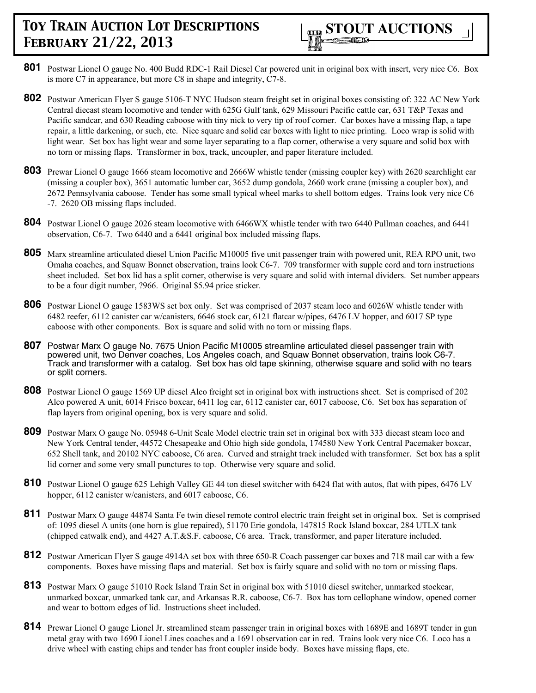

- **801** Postwar Lionel O gauge No. 400 Budd RDC-1 Rail Diesel Car powered unit in original box with insert, very nice C6. Box is more C7 in appearance, but more C8 in shape and integrity, C7-8.
- **802** Postwar American Flyer S gauge 5106-T NYC Hudson steam freight set in original boxes consisting of: 322 AC New York Central diecast steam locomotive and tender with 625G Gulf tank, 629 Missouri Pacific cattle car, 631 T&P Texas and Pacific sandcar, and 630 Reading caboose with tiny nick to very tip of roof corner. Car boxes have a missing flap, a tape repair, a little darkening, or such, etc. Nice square and solid car boxes with light to nice printing. Loco wrap is solid with light wear. Set box has light wear and some layer separating to a flap corner, otherwise a very square and solid box with no torn or missing flaps. Transformer in box, track, uncoupler, and paper literature included.
- **803** Prewar Lionel O gauge 1666 steam locomotive and 2666W whistle tender (missing coupler key) with 2620 searchlight car (missing a coupler box), 3651 automatic lumber car, 3652 dump gondola, 2660 work crane (missing a coupler box), and 2672 Pennsylvania caboose. Tender has some small typical wheel marks to shell bottom edges. Trains look very nice C6 -7. 2620 OB missing flaps included.
- **804** Postwar Lionel O gauge 2026 steam locomotive with 6466WX whistle tender with two 6440 Pullman coaches, and 6441 observation, C6-7. Two 6440 and a 6441 original box included missing flaps.
- **805** Marx streamline articulated diesel Union Pacific M10005 five unit passenger train with powered unit, REA RPO unit, two Omaha coaches, and Squaw Bonnet observation, trains look C6-7. 709 transformer with supple cord and torn instructions sheet included. Set box lid has a split corner, otherwise is very square and solid with internal dividers. Set number appears to be a four digit number, ?966. Original \$5.94 price sticker.
- **806** Postwar Lionel O gauge 1583WS set box only. Set was comprised of 2037 steam loco and 6026W whistle tender with 6482 reefer, 6112 canister car w/canisters, 6646 stock car, 6121 flatcar w/pipes, 6476 LV hopper, and 6017 SP type caboose with other components. Box is square and solid with no torn or missing flaps.
- **807** Postwar Marx O gauge No. 7675 Union Pacific M10005 streamline articulated diesel passenger train with powered unit, two Denver coaches, Los Angeles coach, and Squaw Bonnet observation, trains look C6-7. Track and transformer with a catalog. Set box has old tape skinning, otherwise square and solid with no tears or split corners.
- **808** Postwar Lionel O gauge 1569 UP diesel Alco freight set in original box with instructions sheet. Set is comprised of 202 Alco powered A unit, 6014 Frisco boxcar, 6411 log car, 6112 canister car, 6017 caboose, C6. Set box has separation of flap layers from original opening, box is very square and solid.
- **809** Postwar Marx O gauge No. 05948 6-Unit Scale Model electric train set in original box with 333 diecast steam loco and New York Central tender, 44572 Chesapeake and Ohio high side gondola, 174580 New York Central Pacemaker boxcar, 652 Shell tank, and 20102 NYC caboose, C6 area. Curved and straight track included with transformer. Set box has a split lid corner and some very small punctures to top. Otherwise very square and solid.
- 810 Postwar Lionel O gauge 625 Lehigh Valley GE 44 ton diesel switcher with 6424 flat with autos, flat with pipes, 6476 LV hopper, 6112 canister w/canisters, and 6017 caboose, C6.
- **811** Postwar Marx O gauge 44874 Santa Fe twin diesel remote control electric train freight set in original box. Set is comprised of: 1095 diesel A units (one horn is glue repaired), 51170 Erie gondola, 147815 Rock Island boxcar, 284 UTLX tank (chipped catwalk end), and 4427 A.T.&S.F. caboose, C6 area. Track, transformer, and paper literature included.
- **812** Postwar American Flyer S gauge 4914A set box with three 650-R Coach passenger car boxes and 718 mail car with a few components. Boxes have missing flaps and material. Set box is fairly square and solid with no torn or missing flaps.
- **813** Postwar Marx O gauge 51010 Rock Island Train Set in original box with 51010 diesel switcher, unmarked stockcar, unmarked boxcar, unmarked tank car, and Arkansas R.R. caboose, C6-7. Box has torn cellophane window, opened corner and wear to bottom edges of lid. Instructions sheet included.
- **814** Prewar Lionel O gauge Lionel Jr. streamlined steam passenger train in original boxes with 1689E and 1689T tender in gun metal gray with two 1690 Lionel Lines coaches and a 1691 observation car in red. Trains look very nice C6. Loco has a drive wheel with casting chips and tender has front coupler inside body. Boxes have missing flaps, etc.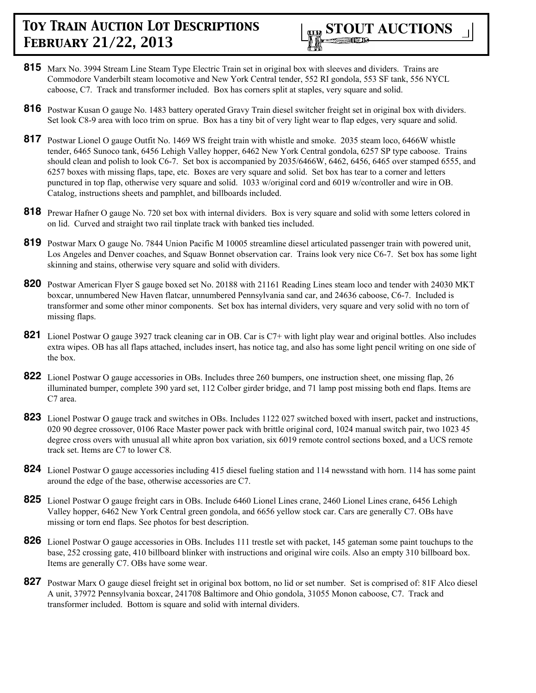- **815** Marx No. 3994 Stream Line Steam Type Electric Train set in original box with sleeves and dividers. Trains are Commodore Vanderbilt steam locomotive and New York Central tender, 552 RI gondola, 553 SF tank, 556 NYCL caboose, C7. Track and transformer included. Box has corners split at staples, very square and solid.
- **816** Postwar Kusan O gauge No. 1483 battery operated Gravy Train diesel switcher freight set in original box with dividers. Set look C8-9 area with loco trim on sprue. Box has a tiny bit of very light wear to flap edges, very square and solid.
- **817** Postwar Lionel O gauge Outfit No. 1469 WS freight train with whistle and smoke. 2035 steam loco, 6466W whistle tender, 6465 Sunoco tank, 6456 Lehigh Valley hopper, 6462 New York Central gondola, 6257 SP type caboose. Trains should clean and polish to look C6-7. Set box is accompanied by 2035/6466W, 6462, 6456, 6465 over stamped 6555, and 6257 boxes with missing flaps, tape, etc. Boxes are very square and solid. Set box has tear to a corner and letters punctured in top flap, otherwise very square and solid. 1033 w/original cord and 6019 w/controller and wire in OB. Catalog, instructions sheets and pamphlet, and billboards included.
- **818** Prewar Hafner O gauge No. 720 set box with internal dividers. Box is very square and solid with some letters colored in on lid. Curved and straight two rail tinplate track with banked ties included.
- **819** Postwar Marx O gauge No. 7844 Union Pacific M 10005 streamline diesel articulated passenger train with powered unit, Los Angeles and Denver coaches, and Squaw Bonnet observation car. Trains look very nice C6-7. Set box has some light skinning and stains, otherwise very square and solid with dividers.
- **820** Postwar American Flyer S gauge boxed set No. 20188 with 21161 Reading Lines steam loco and tender with 24030 MKT boxcar, unnumbered New Haven flatcar, unnumbered Pennsylvania sand car, and 24636 caboose, C6-7. Included is transformer and some other minor components. Set box has internal dividers, very square and very solid with no torn of missing flaps.
- **821** Lionel Postwar O gauge 3927 track cleaning car in OB. Car is C7+ with light play wear and original bottles. Also includes extra wipes. OB has all flaps attached, includes insert, has notice tag, and also has some light pencil writing on one side of the box.
- **822** Lionel Postwar O gauge accessories in OBs. Includes three 260 bumpers, one instruction sheet, one missing flap, 26 illuminated bumper, complete 390 yard set, 112 Colber girder bridge, and 71 lamp post missing both end flaps. Items are C7 area.
- **823** Lionel Postwar O gauge track and switches in OBs. Includes 1122 027 switched boxed with insert, packet and instructions, 020 90 degree crossover, 0106 Race Master power pack with brittle original cord, 1024 manual switch pair, two 1023 45 degree cross overs with unusual all white apron box variation, six 6019 remote control sections boxed, and a UCS remote track set. Items are C7 to lower C8.
- **824** Lionel Postwar O gauge accessories including 415 diesel fueling station and 114 newsstand with horn. 114 has some paint around the edge of the base, otherwise accessories are C7.
- **825** Lionel Postwar O gauge freight cars in OBs. Include 6460 Lionel Lines crane, 2460 Lionel Lines crane, 6456 Lehigh Valley hopper, 6462 New York Central green gondola, and 6656 yellow stock car. Cars are generally C7. OBs have missing or torn end flaps. See photos for best description.
- **826** Lionel Postwar O gauge accessories in OBs. Includes 111 trestle set with packet, 145 gateman some paint touchups to the base, 252 crossing gate, 410 billboard blinker with instructions and original wire coils. Also an empty 310 billboard box. Items are generally C7. OBs have some wear.
- **827** Postwar Marx O gauge diesel freight set in original box bottom, no lid or set number. Set is comprised of: 81F Alco diesel A unit, 37972 Pennsylvania boxcar, 241708 Baltimore and Ohio gondola, 31055 Monon caboose, C7. Track and transformer included. Bottom is square and solid with internal dividers.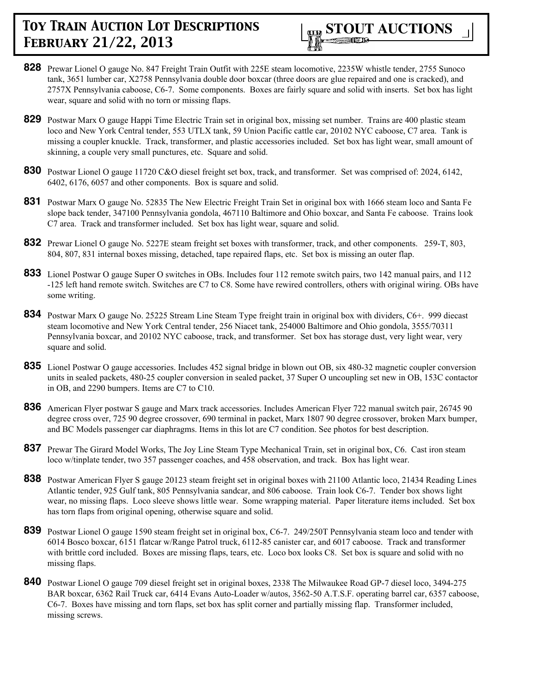

- **828** Prewar Lionel O gauge No. 847 Freight Train Outfit with 225E steam locomotive, 2235W whistle tender, 2755 Sunoco tank, 3651 lumber car, X2758 Pennsylvania double door boxcar (three doors are glue repaired and one is cracked), and 2757X Pennsylvania caboose, C6-7. Some components. Boxes are fairly square and solid with inserts. Set box has light wear, square and solid with no torn or missing flaps.
- **829** Postwar Marx O gauge Happi Time Electric Train set in original box, missing set number. Trains are 400 plastic steam loco and New York Central tender, 553 UTLX tank, 59 Union Pacific cattle car, 20102 NYC caboose, C7 area. Tank is missing a coupler knuckle. Track, transformer, and plastic accessories included. Set box has light wear, small amount of skinning, a couple very small punctures, etc. Square and solid.
- **830** Postwar Lionel O gauge 11720 C&O diesel freight set box, track, and transformer. Set was comprised of: 2024, 6142, 6402, 6176, 6057 and other components. Box is square and solid.
- **831** Postwar Marx O gauge No. 52835 The New Electric Freight Train Set in original box with 1666 steam loco and Santa Fe slope back tender, 347100 Pennsylvania gondola, 467110 Baltimore and Ohio boxcar, and Santa Fe caboose. Trains look C7 area. Track and transformer included. Set box has light wear, square and solid.
- **832** Prewar Lionel O gauge No. 5227E steam freight set boxes with transformer, track, and other components. 259-T, 803, 804, 807, 831 internal boxes missing, detached, tape repaired flaps, etc. Set box is missing an outer flap.
- **833** Lionel Postwar O gauge Super O switches in OBs. Includes four 112 remote switch pairs, two 142 manual pairs, and 112 -125 left hand remote switch. Switches are C7 to C8. Some have rewired controllers, others with original wiring. OBs have some writing.
- **834** Postwar Marx O gauge No. 25225 Stream Line Steam Type freight train in original box with dividers, C6+. 999 diecast steam locomotive and New York Central tender, 256 Niacet tank, 254000 Baltimore and Ohio gondola, 3555/70311 Pennsylvania boxcar, and 20102 NYC caboose, track, and transformer. Set box has storage dust, very light wear, very square and solid.
- **835** Lionel Postwar O gauge accessories. Includes 452 signal bridge in blown out OB, six 480-32 magnetic coupler conversion units in sealed packets, 480-25 coupler conversion in sealed packet, 37 Super O uncoupling set new in OB, 153C contactor in OB, and 2290 bumpers. Items are C7 to C10.
- **836** American Flyer postwar S gauge and Marx track accessories. Includes American Flyer 722 manual switch pair, 26745 90 degree cross over, 725 90 degree crossover, 690 terminal in packet, Marx 1807 90 degree crossover, broken Marx bumper, and BC Models passenger car diaphragms. Items in this lot are C7 condition. See photos for best description.
- **837** Prewar The Girard Model Works, The Joy Line Steam Type Mechanical Train, set in original box, C6. Cast iron steam loco w/tinplate tender, two 357 passenger coaches, and 458 observation, and track. Box has light wear.
- **838** Postwar American Flyer S gauge 20123 steam freight set in original boxes with 21100 Atlantic loco, 21434 Reading Lines Atlantic tender, 925 Gulf tank, 805 Pennsylvania sandcar, and 806 caboose. Train look C6-7. Tender box shows light wear, no missing flaps. Loco sleeve shows little wear. Some wrapping material. Paper literature items included. Set box has torn flaps from original opening, otherwise square and solid.
- **839** Postwar Lionel O gauge 1590 steam freight set in original box, C6-7. 249/250T Pennsylvania steam loco and tender with 6014 Bosco boxcar, 6151 flatcar w/Range Patrol truck, 6112-85 canister car, and 6017 caboose. Track and transformer with brittle cord included. Boxes are missing flaps, tears, etc. Loco box looks C8. Set box is square and solid with no missing flaps.
- **840** Postwar Lionel O gauge 709 diesel freight set in original boxes, 2338 The Milwaukee Road GP-7 diesel loco, 3494-275 BAR boxcar, 6362 Rail Truck car, 6414 Evans Auto-Loader w/autos, 3562-50 A.T.S.F. operating barrel car, 6357 caboose, C6-7. Boxes have missing and torn flaps, set box has split corner and partially missing flap. Transformer included, missing screws.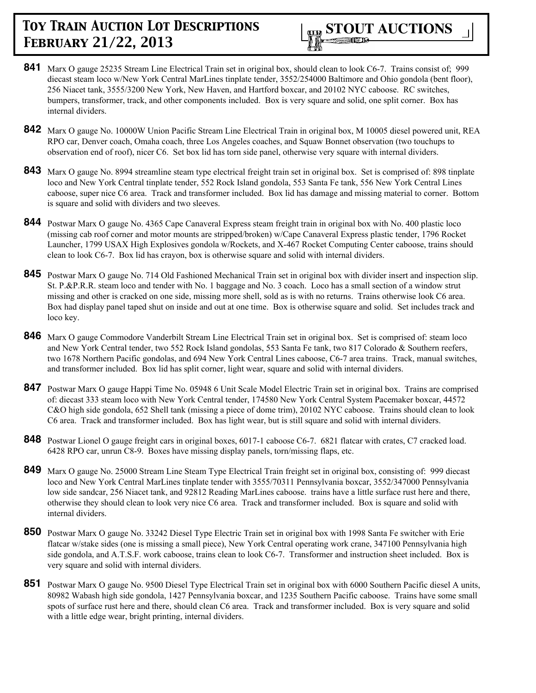

- **841** Marx O gauge 25235 Stream Line Electrical Train set in original box, should clean to look C6-7. Trains consist of; 999 diecast steam loco w/New York Central MarLines tinplate tender, 3552/254000 Baltimore and Ohio gondola (bent floor), 256 Niacet tank, 3555/3200 New York, New Haven, and Hartford boxcar, and 20102 NYC caboose. RC switches, bumpers, transformer, track, and other components included. Box is very square and solid, one split corner. Box has internal dividers.
- **842** Marx O gauge No. 10000W Union Pacific Stream Line Electrical Train in original box, M 10005 diesel powered unit, REA RPO car, Denver coach, Omaha coach, three Los Angeles coaches, and Squaw Bonnet observation (two touchups to observation end of roof), nicer C6. Set box lid has torn side panel, otherwise very square with internal dividers.
- **843** Marx O gauge No. 8994 streamline steam type electrical freight train set in original box. Set is comprised of: 898 tinplate loco and New York Central tinplate tender, 552 Rock Island gondola, 553 Santa Fe tank, 556 New York Central Lines caboose, super nice C6 area. Track and transformer included. Box lid has damage and missing material to corner. Bottom is square and solid with dividers and two sleeves.
- **844** Postwar Marx O gauge No. 4365 Cape Canaveral Express steam freight train in original box with No. 400 plastic loco (missing cab roof corner and motor mounts are stripped/broken) w/Cape Canaveral Express plastic tender, 1796 Rocket Launcher, 1799 USAX High Explosives gondola w/Rockets, and X-467 Rocket Computing Center caboose, trains should clean to look C6-7. Box lid has crayon, box is otherwise square and solid with internal dividers.
- **845** Postwar Marx O gauge No. 714 Old Fashioned Mechanical Train set in original box with divider insert and inspection slip. St. P.&P.R.R. steam loco and tender with No. 1 baggage and No. 3 coach. Loco has a small section of a window strut missing and other is cracked on one side, missing more shell, sold as is with no returns. Trains otherwise look C6 area. Box had display panel taped shut on inside and out at one time. Box is otherwise square and solid. Set includes track and loco key.
- 846 Marx O gauge Commodore Vanderbilt Stream Line Electrical Train set in original box. Set is comprised of: steam loco and New York Central tender, two 552 Rock Island gondolas, 553 Santa Fe tank, two 817 Colorado & Southern reefers, two 1678 Northern Pacific gondolas, and 694 New York Central Lines caboose, C6-7 area trains. Track, manual switches, and transformer included. Box lid has split corner, light wear, square and solid with internal dividers.
- **847** Postwar Marx O gauge Happi Time No. 05948 6 Unit Scale Model Electric Train set in original box. Trains are comprised of: diecast 333 steam loco with New York Central tender, 174580 New York Central System Pacemaker boxcar, 44572 C&O high side gondola, 652 Shell tank (missing a piece of dome trim), 20102 NYC caboose. Trains should clean to look C6 area. Track and transformer included. Box has light wear, but is still square and solid with internal dividers.
- **848** Postwar Lionel O gauge freight cars in original boxes, 6017-1 caboose C6-7. 6821 flatcar with crates, C7 cracked load. 6428 RPO car, unrun C8-9. Boxes have missing display panels, torn/missing flaps, etc.
- 849 Marx O gauge No. 25000 Stream Line Steam Type Electrical Train freight set in original box, consisting of: 999 diecast loco and New York Central MarLines tinplate tender with 3555/70311 Pennsylvania boxcar, 3552/347000 Pennsylvania low side sandcar, 256 Niacet tank, and 92812 Reading MarLines caboose. trains have a little surface rust here and there, otherwise they should clean to look very nice C6 area. Track and transformer included. Box is square and solid with internal dividers.
- **850** Postwar Marx O gauge No. 33242 Diesel Type Electric Train set in original box with 1998 Santa Fe switcher with Erie flatcar w/stake sides (one is missing a small piece), New York Central operating work crane, 347100 Pennsylvania high side gondola, and A.T.S.F. work caboose, trains clean to look C6-7. Transformer and instruction sheet included. Box is very square and solid with internal dividers.
- **851** Postwar Marx O gauge No. 9500 Diesel Type Electrical Train set in original box with 6000 Southern Pacific diesel A units, 80982 Wabash high side gondola, 1427 Pennsylvania boxcar, and 1235 Southern Pacific caboose. Trains have some small spots of surface rust here and there, should clean C6 area. Track and transformer included. Box is very square and solid with a little edge wear, bright printing, internal dividers.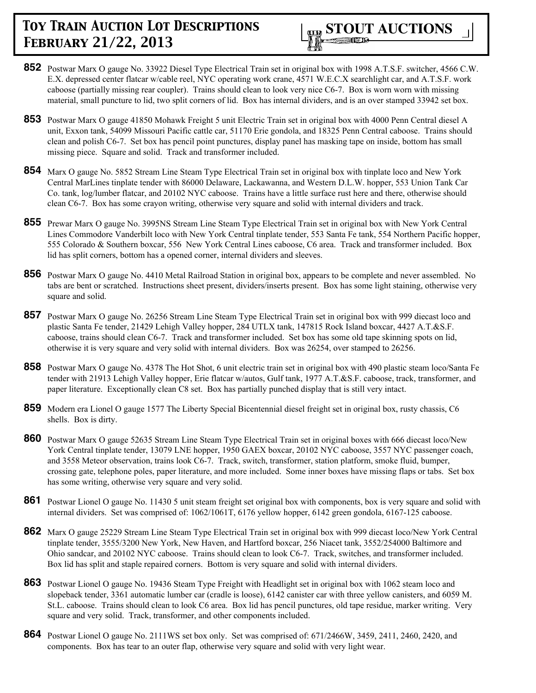

- **852** Postwar Marx O gauge No. 33922 Diesel Type Electrical Train set in original box with 1998 A.T.S.F. switcher, 4566 C.W. E.X. depressed center flatcar w/cable reel, NYC operating work crane, 4571 W.E.C.X searchlight car, and A.T.S.F. work caboose (partially missing rear coupler). Trains should clean to look very nice C6-7. Box is worn worn with missing material, small puncture to lid, two split corners of lid. Box has internal dividers, and is an over stamped 33942 set box.
- **853** Postwar Marx O gauge 41850 Mohawk Freight 5 unit Electric Train set in original box with 4000 Penn Central diesel A unit, Exxon tank, 54099 Missouri Pacific cattle car, 51170 Erie gondola, and 18325 Penn Central caboose. Trains should clean and polish C6-7. Set box has pencil point punctures, display panel has masking tape on inside, bottom has small missing piece. Square and solid. Track and transformer included.
- **854** Marx O gauge No. 5852 Stream Line Steam Type Electrical Train set in original box with tinplate loco and New York Central MarLines tinplate tender with 86000 Delaware, Lackawanna, and Western D.L.W. hopper, 553 Union Tank Car Co. tank, log/lumber flatcar, and 20102 NYC caboose. Trains have a little surface rust here and there, otherwise should clean C6-7. Box has some crayon writing, otherwise very square and solid with internal dividers and track.
- **855** Prewar Marx O gauge No. 3995NS Stream Line Steam Type Electrical Train set in original box with New York Central Lines Commodore Vanderbilt loco with New York Central tinplate tender, 553 Santa Fe tank, 554 Northern Pacific hopper, 555 Colorado & Southern boxcar, 556 New York Central Lines caboose, C6 area. Track and transformer included. Box lid has split corners, bottom has a opened corner, internal dividers and sleeves.
- **856** Postwar Marx O gauge No. 4410 Metal Railroad Station in original box, appears to be complete and never assembled. No tabs are bent or scratched. Instructions sheet present, dividers/inserts present. Box has some light staining, otherwise very square and solid.
- **857** Postwar Marx O gauge No. 26256 Stream Line Steam Type Electrical Train set in original box with 999 diecast loco and plastic Santa Fe tender, 21429 Lehigh Valley hopper, 284 UTLX tank, 147815 Rock Island boxcar, 4427 A.T.&S.F. caboose, trains should clean C6-7. Track and transformer included. Set box has some old tape skinning spots on lid, otherwise it is very square and very solid with internal dividers. Box was 26254, over stamped to 26256.
- **858** Postwar Marx O gauge No. 4378 The Hot Shot, 6 unit electric train set in original box with 490 plastic steam loco/Santa Fe tender with 21913 Lehigh Valley hopper, Erie flatcar w/autos, Gulf tank, 1977 A.T.&S.F. caboose, track, transformer, and paper literature. Exceptionally clean C8 set. Box has partially punched display that is still very intact.
- **859** Modern era Lionel O gauge 1577 The Liberty Special Bicentennial diesel freight set in original box, rusty chassis, C6 shells. Box is dirty.
- **860** Postwar Marx O gauge 52635 Stream Line Steam Type Electrical Train set in original boxes with 666 diecast loco/New York Central tinplate tender, 13079 LNE hopper, 1950 GAEX boxcar, 20102 NYC caboose, 3557 NYC passenger coach, and 3558 Meteor observation, trains look C6-7. Track, switch, transformer, station platform, smoke fluid, bumper, crossing gate, telephone poles, paper literature, and more included. Some inner boxes have missing flaps or tabs. Set box has some writing, otherwise very square and very solid.
- **861** Postwar Lionel O gauge No. 11430 5 unit steam freight set original box with components, box is very square and solid with internal dividers. Set was comprised of: 1062/1061T, 6176 yellow hopper, 6142 green gondola, 6167-125 caboose.
- **862** Marx O gauge 25229 Stream Line Steam Type Electrical Train set in original box with 999 diecast loco/New York Central tinplate tender, 3555/3200 New York, New Haven, and Hartford boxcar, 256 Niacet tank, 3552/254000 Baltimore and Ohio sandcar, and 20102 NYC caboose. Trains should clean to look C6-7. Track, switches, and transformer included. Box lid has split and staple repaired corners. Bottom is very square and solid with internal dividers.
- **863** Postwar Lionel O gauge No. 19436 Steam Type Freight with Headlight set in original box with 1062 steam loco and slopeback tender, 3361 automatic lumber car (cradle is loose), 6142 canister car with three yellow canisters, and 6059 M. St.L. caboose. Trains should clean to look C6 area. Box lid has pencil punctures, old tape residue, marker writing. Very square and very solid. Track, transformer, and other components included.
- **864** Postwar Lionel O gauge No. 2111WS set box only. Set was comprised of: 671/2466W, 3459, 2411, 2460, 2420, and components. Box has tear to an outer flap, otherwise very square and solid with very light wear.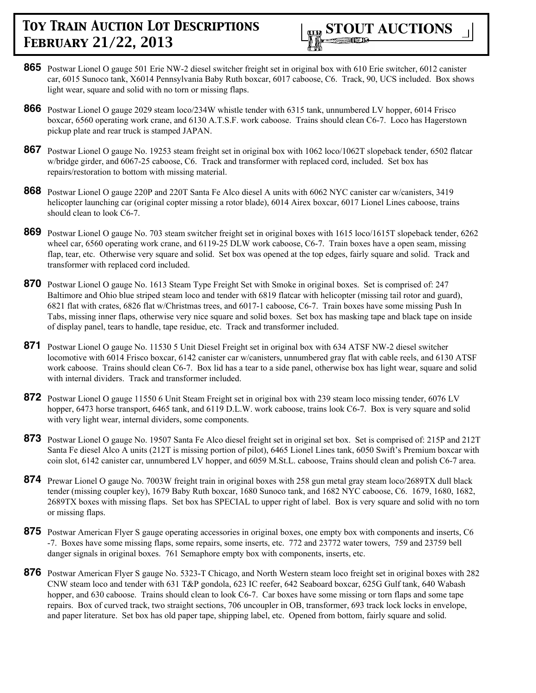

- **865** Postwar Lionel O gauge 501 Erie NW-2 diesel switcher freight set in original box with 610 Erie switcher, 6012 canister car, 6015 Sunoco tank, X6014 Pennsylvania Baby Ruth boxcar, 6017 caboose, C6. Track, 90, UCS included. Box shows light wear, square and solid with no torn or missing flaps.
- **866** Postwar Lionel O gauge 2029 steam loco/234W whistle tender with 6315 tank, unnumbered LV hopper, 6014 Frisco boxcar, 6560 operating work crane, and 6130 A.T.S.F. work caboose. Trains should clean C6-7. Loco has Hagerstown pickup plate and rear truck is stamped JAPAN.
- **867** Postwar Lionel O gauge No. 19253 steam freight set in original box with 1062 loco/1062T slopeback tender, 6502 flatcar w/bridge girder, and 6067-25 caboose, C6. Track and transformer with replaced cord, included. Set box has repairs/restoration to bottom with missing material.
- **868** Postwar Lionel O gauge 220P and 220T Santa Fe Alco diesel A units with 6062 NYC canister car w/canisters, 3419 helicopter launching car (original copter missing a rotor blade), 6014 Airex boxcar, 6017 Lionel Lines caboose, trains should clean to look C6-7.
- **869** Postwar Lionel O gauge No. 703 steam switcher freight set in original boxes with 1615 loco/1615T slopeback tender, 6262 wheel car, 6560 operating work crane, and 6119-25 DLW work caboose, C6-7. Train boxes have a open seam, missing flap, tear, etc. Otherwise very square and solid. Set box was opened at the top edges, fairly square and solid. Track and transformer with replaced cord included.
- **870** Postwar Lionel O gauge No. 1613 Steam Type Freight Set with Smoke in original boxes. Set is comprised of: 247 Baltimore and Ohio blue striped steam loco and tender with 6819 flatcar with helicopter (missing tail rotor and guard), 6821 flat with crates, 6826 flat w/Christmas trees, and 6017-1 caboose, C6-7. Train boxes have some missing Push In Tabs, missing inner flaps, otherwise very nice square and solid boxes. Set box has masking tape and black tape on inside of display panel, tears to handle, tape residue, etc. Track and transformer included.
- **871** Postwar Lionel O gauge No. 11530 5 Unit Diesel Freight set in original box with 634 ATSF NW-2 diesel switcher locomotive with 6014 Frisco boxcar, 6142 canister car w/canisters, unnumbered gray flat with cable reels, and 6130 ATSF work caboose. Trains should clean C6-7. Box lid has a tear to a side panel, otherwise box has light wear, square and solid with internal dividers. Track and transformer included.
- **872** Postwar Lionel O gauge 11550 6 Unit Steam Freight set in original box with 239 steam loco missing tender, 6076 LV hopper, 6473 horse transport, 6465 tank, and 6119 D.L.W. work caboose, trains look C6-7. Box is very square and solid with very light wear, internal dividers, some components.
- **873** Postwar Lionel O gauge No. 19507 Santa Fe Alco diesel freight set in original set box. Set is comprised of: 215P and 212T Santa Fe diesel Alco A units (212T is missing portion of pilot), 6465 Lionel Lines tank, 6050 Swift's Premium boxcar with coin slot, 6142 canister car, unnumbered LV hopper, and 6059 M.St.L. caboose, Trains should clean and polish C6-7 area.
- **874** Prewar Lionel O gauge No. 7003W freight train in original boxes with 258 gun metal gray steam loco/2689TX dull black tender (missing coupler key), 1679 Baby Ruth boxcar, 1680 Sunoco tank, and 1682 NYC caboose, C6. 1679, 1680, 1682, 2689TX boxes with missing flaps. Set box has SPECIAL to upper right of label. Box is very square and solid with no torn or missing flaps.
- **875** Postwar American Flyer S gauge operating accessories in original boxes, one empty box with components and inserts, C6 -7. Boxes have some missing flaps, some repairs, some inserts, etc. 772 and 23772 water towers, 759 and 23759 bell danger signals in original boxes. 761 Semaphore empty box with components, inserts, etc.
- 876 Postwar American Flyer S gauge No. 5323-T Chicago, and North Western steam loco freight set in original boxes with 282 CNW steam loco and tender with 631 T&P gondola, 623 IC reefer, 642 Seaboard boxcar, 625G Gulf tank, 640 Wabash hopper, and 630 caboose. Trains should clean to look C6-7. Car boxes have some missing or torn flaps and some tape repairs. Box of curved track, two straight sections, 706 uncoupler in OB, transformer, 693 track lock locks in envelope, and paper literature. Set box has old paper tape, shipping label, etc. Opened from bottom, fairly square and solid.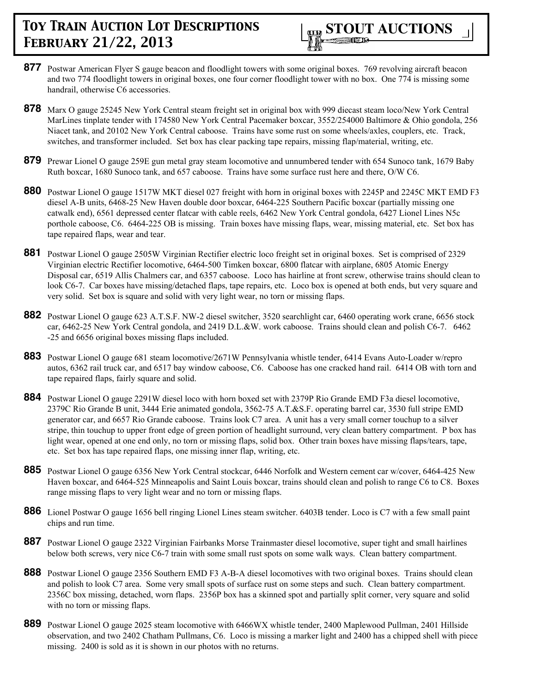- **877** Postwar American Flyer S gauge beacon and floodlight towers with some original boxes. 769 revolving aircraft beacon and two 774 floodlight towers in original boxes, one four corner floodlight tower with no box. One 774 is missing some handrail, otherwise C6 accessories.
- **878** Marx O gauge 25245 New York Central steam freight set in original box with 999 diecast steam loco/New York Central MarLines tinplate tender with 174580 New York Central Pacemaker boxcar, 3552/254000 Baltimore & Ohio gondola, 256 Niacet tank, and 20102 New York Central caboose. Trains have some rust on some wheels/axles, couplers, etc. Track, switches, and transformer included. Set box has clear packing tape repairs, missing flap/material, writing, etc.
- **879** Prewar Lionel O gauge 259E gun metal gray steam locomotive and unnumbered tender with 654 Sunoco tank, 1679 Baby Ruth boxcar, 1680 Sunoco tank, and 657 caboose. Trains have some surface rust here and there, O/W C6.
- **880** Postwar Lionel O gauge 1517W MKT diesel 027 freight with horn in original boxes with 2245P and 2245C MKT EMD F3 diesel A-B units, 6468-25 New Haven double door boxcar, 6464-225 Southern Pacific boxcar (partially missing one catwalk end), 6561 depressed center flatcar with cable reels, 6462 New York Central gondola, 6427 Lionel Lines N5c porthole caboose, C6. 6464-225 OB is missing. Train boxes have missing flaps, wear, missing material, etc. Set box has tape repaired flaps, wear and tear.
- **881** Postwar Lionel O gauge 2505W Virginian Rectifier electric loco freight set in original boxes. Set is comprised of 2329 Virginian electric Rectifier locomotive, 6464-500 Timken boxcar, 6800 flatcar with airplane, 6805 Atomic Energy Disposal car, 6519 Allis Chalmers car, and 6357 caboose. Loco has hairline at front screw, otherwise trains should clean to look C6-7. Car boxes have missing/detached flaps, tape repairs, etc. Loco box is opened at both ends, but very square and very solid. Set box is square and solid with very light wear, no torn or missing flaps.
- **882** Postwar Lionel O gauge 623 A.T.S.F. NW-2 diesel switcher, 3520 searchlight car, 6460 operating work crane, 6656 stock car, 6462-25 New York Central gondola, and 2419 D.L.&W. work caboose. Trains should clean and polish C6-7. 6462 -25 and 6656 original boxes missing flaps included.
- **883** Postwar Lionel O gauge 681 steam locomotive/2671W Pennsylvania whistle tender, 6414 Evans Auto-Loader w/repro autos, 6362 rail truck car, and 6517 bay window caboose, C6. Caboose has one cracked hand rail. 6414 OB with torn and tape repaired flaps, fairly square and solid.
- **884** Postwar Lionel O gauge 2291W diesel loco with horn boxed set with 2379P Rio Grande EMD F3a diesel locomotive, 2379C Rio Grande B unit, 3444 Erie animated gondola, 3562-75 A.T.&S.F. operating barrel car, 3530 full stripe EMD generator car, and 6657 Rio Grande caboose. Trains look C7 area. A unit has a very small corner touchup to a silver stripe, thin touchup to upper front edge of green portion of headlight surround, very clean battery compartment. P box has light wear, opened at one end only, no torn or missing flaps, solid box. Other train boxes have missing flaps/tears, tape, etc. Set box has tape repaired flaps, one missing inner flap, writing, etc.
- **885** Postwar Lionel O gauge 6356 New York Central stockcar, 6446 Norfolk and Western cement car w/cover, 6464-425 New Haven boxcar, and 6464-525 Minneapolis and Saint Louis boxcar, trains should clean and polish to range C6 to C8. Boxes range missing flaps to very light wear and no torn or missing flaps.
- **886** Lionel Postwar O gauge 1656 bell ringing Lionel Lines steam switcher. 6403B tender. Loco is C7 with a few small paint chips and run time.
- **887** Postwar Lionel O gauge 2322 Virginian Fairbanks Morse Trainmaster diesel locomotive, super tight and small hairlines below both screws, very nice C6-7 train with some small rust spots on some walk ways. Clean battery compartment.
- **888** Postwar Lionel O gauge 2356 Southern EMD F3 A-B-A diesel locomotives with two original boxes. Trains should clean and polish to look C7 area. Some very small spots of surface rust on some steps and such. Clean battery compartment. 2356C box missing, detached, worn flaps. 2356P box has a skinned spot and partially split corner, very square and solid with no torn or missing flaps.
- **889** Postwar Lionel O gauge 2025 steam locomotive with 6466WX whistle tender, 2400 Maplewood Pullman, 2401 Hillside observation, and two 2402 Chatham Pullmans, C6. Loco is missing a marker light and 2400 has a chipped shell with piece missing. 2400 is sold as it is shown in our photos with no returns.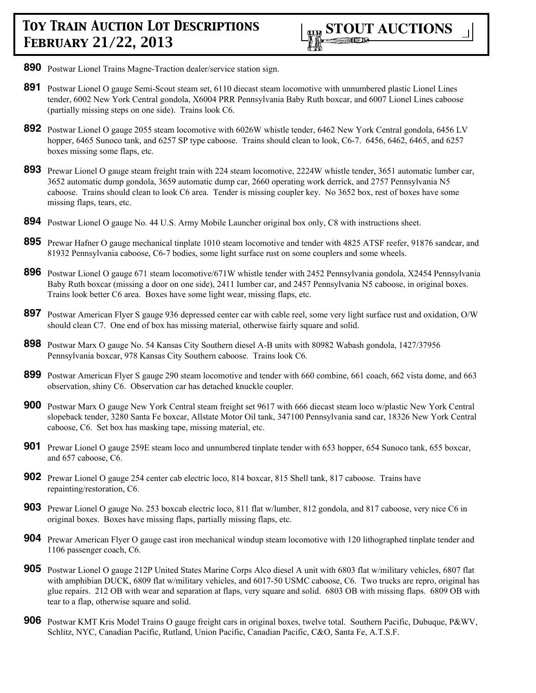

- **890** Postwar Lionel Trains Magne-Traction dealer/service station sign.
- **891** Postwar Lionel O gauge Semi-Scout steam set, 6110 diecast steam locomotive with unnumbered plastic Lionel Lines tender, 6002 New York Central gondola, X6004 PRR Pennsylvania Baby Ruth boxcar, and 6007 Lionel Lines caboose (partially missing steps on one side). Trains look C6.
- **892** Postwar Lionel O gauge 2055 steam locomotive with 6026W whistle tender, 6462 New York Central gondola, 6456 LV hopper, 6465 Sunoco tank, and 6257 SP type caboose. Trains should clean to look, C6-7. 6456, 6462, 6465, and 6257 boxes missing some flaps, etc.
- **893** Prewar Lionel O gauge steam freight train with 224 steam locomotive, 2224W whistle tender, 3651 automatic lumber car, 3652 automatic dump gondola, 3659 automatic dump car, 2660 operating work derrick, and 2757 Pennsylvania N5 caboose. Trains should clean to look C6 area. Tender is missing coupler key. No 3652 box, rest of boxes have some missing flaps, tears, etc.
- **894** Postwar Lionel O gauge No. 44 U.S. Army Mobile Launcher original box only, C8 with instructions sheet.
- **895** Prewar Hafner O gauge mechanical tinplate 1010 steam locomotive and tender with 4825 ATSF reefer, 91876 sandcar, and 81932 Pennsylvania caboose, C6-7 bodies, some light surface rust on some couplers and some wheels.
- **896** Postwar Lionel O gauge 671 steam locomotive/671W whistle tender with 2452 Pennsylvania gondola, X2454 Pennsylvania Baby Ruth boxcar (missing a door on one side), 2411 lumber car, and 2457 Pennsylvania N5 caboose, in original boxes. Trains look better C6 area. Boxes have some light wear, missing flaps, etc.
- **897** Postwar American Flyer S gauge 936 depressed center car with cable reel, some very light surface rust and oxidation, O/W should clean C7. One end of box has missing material, otherwise fairly square and solid.
- **898** Postwar Marx O gauge No. 54 Kansas City Southern diesel A-B units with 80982 Wabash gondola, 1427/37956 Pennsylvania boxcar, 978 Kansas City Southern caboose. Trains look C6.
- **899** Postwar American Flyer S gauge 290 steam locomotive and tender with 660 combine, 661 coach, 662 vista dome, and 663 observation, shiny C6. Observation car has detached knuckle coupler.
- **900** Postwar Marx O gauge New York Central steam freight set 9617 with 666 diecast steam loco w/plastic New York Central slopeback tender, 3280 Santa Fe boxcar, Allstate Motor Oil tank, 347100 Pennsylvania sand car, 18326 New York Central caboose, C6. Set box has masking tape, missing material, etc.
- **901** Prewar Lionel O gauge 259E steam loco and unnumbered tinplate tender with 653 hopper, 654 Sunoco tank, 655 boxcar, and 657 caboose, C6.
- **902** Prewar Lionel O gauge 254 center cab electric loco, 814 boxcar, 815 Shell tank, 817 caboose. Trains have repainting/restoration, C6.
- **903** Prewar Lionel O gauge No. 253 boxcab electric loco, 811 flat w/lumber, 812 gondola, and 817 caboose, very nice C6 in original boxes. Boxes have missing flaps, partially missing flaps, etc.
- **904** Prewar American Flyer O gauge cast iron mechanical windup steam locomotive with 120 lithographed tinplate tender and 1106 passenger coach, C6.
- **905** Postwar Lionel O gauge 212P United States Marine Corps Alco diesel A unit with 6803 flat w/military vehicles, 6807 flat with amphibian DUCK, 6809 flat w/military vehicles, and 6017-50 USMC caboose, C6. Two trucks are repro, original has glue repairs. 212 OB with wear and separation at flaps, very square and solid. 6803 OB with missing flaps. 6809 OB with tear to a flap, otherwise square and solid.
- **906** Postwar KMT Kris Model Trains O gauge freight cars in original boxes, twelve total. Southern Pacific, Dubuque, P&WV, Schlitz, NYC, Canadian Pacific, Rutland, Union Pacific, Canadian Pacific, C&O, Santa Fe, A.T.S.F.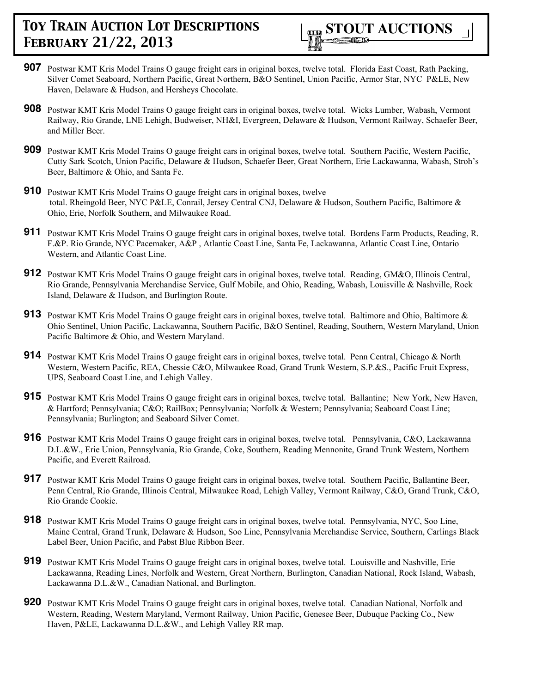

- **907** Postwar KMT Kris Model Trains O gauge freight cars in original boxes, twelve total. Florida East Coast, Rath Packing, Silver Comet Seaboard, Northern Pacific, Great Northern, B&O Sentinel, Union Pacific, Armor Star, NYC P&LE, New Haven, Delaware & Hudson, and Hersheys Chocolate.
- **908** Postwar KMT Kris Model Trains O gauge freight cars in original boxes, twelve total. Wicks Lumber, Wabash, Vermont Railway, Rio Grande, LNE Lehigh, Budweiser, NH&I, Evergreen, Delaware & Hudson, Vermont Railway, Schaefer Beer, and Miller Beer.
- **909** Postwar KMT Kris Model Trains O gauge freight cars in original boxes, twelve total. Southern Pacific, Western Pacific, Cutty Sark Scotch, Union Pacific, Delaware & Hudson, Schaefer Beer, Great Northern, Erie Lackawanna, Wabash, Stroh's Beer, Baltimore & Ohio, and Santa Fe.
- **910** Postwar KMT Kris Model Trains O gauge freight cars in original boxes, twelve total. Rheingold Beer, NYC P&LE, Conrail, Jersey Central CNJ, Delaware & Hudson, Southern Pacific, Baltimore & Ohio, Erie, Norfolk Southern, and Milwaukee Road.
- **911** Postwar KMT Kris Model Trains O gauge freight cars in original boxes, twelve total. Bordens Farm Products, Reading, R. F.&P. Rio Grande, NYC Pacemaker, A&P , Atlantic Coast Line, Santa Fe, Lackawanna, Atlantic Coast Line, Ontario Western, and Atlantic Coast Line.
- **912** Postwar KMT Kris Model Trains O gauge freight cars in original boxes, twelve total. Reading, GM&O, Illinois Central, Rio Grande, Pennsylvania Merchandise Service, Gulf Mobile, and Ohio, Reading, Wabash, Louisville & Nashville, Rock Island, Delaware & Hudson, and Burlington Route.
- **913** Postwar KMT Kris Model Trains O gauge freight cars in original boxes, twelve total. Baltimore and Ohio, Baltimore & Ohio Sentinel, Union Pacific, Lackawanna, Southern Pacific, B&O Sentinel, Reading, Southern, Western Maryland, Union Pacific Baltimore & Ohio, and Western Maryland.
- **914** Postwar KMT Kris Model Trains O gauge freight cars in original boxes, twelve total. Penn Central, Chicago & North Western, Western Pacific, REA, Chessie C&O, Milwaukee Road, Grand Trunk Western, S.P.&S., Pacific Fruit Express, UPS, Seaboard Coast Line, and Lehigh Valley.
- **915** Postwar KMT Kris Model Trains O gauge freight cars in original boxes, twelve total. Ballantine; New York, New Haven, & Hartford; Pennsylvania; C&O; RailBox; Pennsylvania; Norfolk & Western; Pennsylvania; Seaboard Coast Line; Pennsylvania; Burlington; and Seaboard Silver Comet.
- **916** Postwar KMT Kris Model Trains O gauge freight cars in original boxes, twelve total. Pennsylvania, C&O, Lackawanna D.L.&W., Erie Union, Pennsylvania, Rio Grande, Coke, Southern, Reading Mennonite, Grand Trunk Western, Northern Pacific, and Everett Railroad.
- **917** Postwar KMT Kris Model Trains O gauge freight cars in original boxes, twelve total. Southern Pacific, Ballantine Beer, Penn Central, Rio Grande, Illinois Central, Milwaukee Road, Lehigh Valley, Vermont Railway, C&O, Grand Trunk, C&O, Rio Grande Cookie.
- **918** Postwar KMT Kris Model Trains O gauge freight cars in original boxes, twelve total. Pennsylvania, NYC, Soo Line, Maine Central, Grand Trunk, Delaware & Hudson, Soo Line, Pennsylvania Merchandise Service, Southern, Carlings Black Label Beer, Union Pacific, and Pabst Blue Ribbon Beer.
- **919** Postwar KMT Kris Model Trains O gauge freight cars in original boxes, twelve total. Louisville and Nashville, Erie Lackawanna, Reading Lines, Norfolk and Western, Great Northern, Burlington, Canadian National, Rock Island, Wabash, Lackawanna D.L.&W., Canadian National, and Burlington.
- **920** Postwar KMT Kris Model Trains O gauge freight cars in original boxes, twelve total. Canadian National, Norfolk and Western, Reading, Western Maryland, Vermont Railway, Union Pacific, Genesee Beer, Dubuque Packing Co., New Haven, P&LE, Lackawanna D.L.&W., and Lehigh Valley RR map.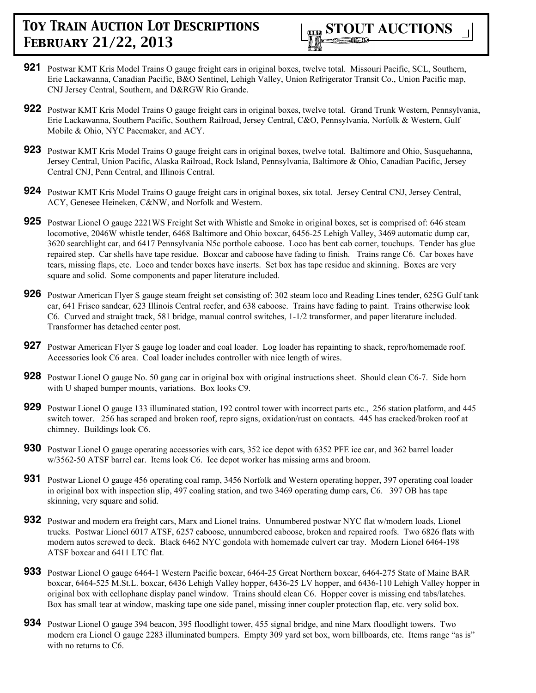

- **921** Postwar KMT Kris Model Trains O gauge freight cars in original boxes, twelve total. Missouri Pacific, SCL, Southern, Erie Lackawanna, Canadian Pacific, B&O Sentinel, Lehigh Valley, Union Refrigerator Transit Co., Union Pacific map, CNJ Jersey Central, Southern, and D&RGW Rio Grande.
- **922** Postwar KMT Kris Model Trains O gauge freight cars in original boxes, twelve total. Grand Trunk Western, Pennsylvania, Erie Lackawanna, Southern Pacific, Southern Railroad, Jersey Central, C&O, Pennsylvania, Norfolk & Western, Gulf Mobile & Ohio, NYC Pacemaker, and ACY.
- **923** Postwar KMT Kris Model Trains O gauge freight cars in original boxes, twelve total. Baltimore and Ohio, Susquehanna, Jersey Central, Union Pacific, Alaska Railroad, Rock Island, Pennsylvania, Baltimore & Ohio, Canadian Pacific, Jersey Central CNJ, Penn Central, and Illinois Central.
- **924** Postwar KMT Kris Model Trains O gauge freight cars in original boxes, six total. Jersey Central CNJ, Jersey Central, ACY, Genesee Heineken, C&NW, and Norfolk and Western.
- **925** Postwar Lionel O gauge 2221WS Freight Set with Whistle and Smoke in original boxes, set is comprised of: 646 steam locomotive, 2046W whistle tender, 6468 Baltimore and Ohio boxcar, 6456-25 Lehigh Valley, 3469 automatic dump car, 3620 searchlight car, and 6417 Pennsylvania N5c porthole caboose. Loco has bent cab corner, touchups. Tender has glue repaired step. Car shells have tape residue. Boxcar and caboose have fading to finish. Trains range C6. Car boxes have tears, missing flaps, etc. Loco and tender boxes have inserts. Set box has tape residue and skinning. Boxes are very square and solid. Some components and paper literature included.
- **926** Postwar American Flyer S gauge steam freight set consisting of: 302 steam loco and Reading Lines tender, 625G Gulf tank car, 641 Frisco sandcar, 623 Illinois Central reefer, and 638 caboose. Trains have fading to paint. Trains otherwise look C6. Curved and straight track, 581 bridge, manual control switches, 1-1/2 transformer, and paper literature included. Transformer has detached center post.
- **927** Postwar American Flyer S gauge log loader and coal loader. Log loader has repainting to shack, repro/homemade roof. Accessories look C6 area. Coal loader includes controller with nice length of wires.
- **928** Postwar Lionel O gauge No. 50 gang car in original box with original instructions sheet. Should clean C6-7. Side horn with U shaped bumper mounts, variations. Box looks C9.
- **929** Postwar Lionel O gauge 133 illuminated station, 192 control tower with incorrect parts etc., 256 station platform, and 445 switch tower. 256 has scraped and broken roof, repro signs, oxidation/rust on contacts. 445 has cracked/broken roof at chimney. Buildings look C6.
- **930** Postwar Lionel O gauge operating accessories with cars, 352 ice depot with 6352 PFE ice car, and 362 barrel loader w/3562-50 ATSF barrel car. Items look C6. Ice depot worker has missing arms and broom.
- **931** Postwar Lionel O gauge 456 operating coal ramp, 3456 Norfolk and Western operating hopper, 397 operating coal loader in original box with inspection slip, 497 coaling station, and two 3469 operating dump cars, C6. 397 OB has tape skinning, very square and solid.
- **932** Postwar and modern era freight cars, Marx and Lionel trains. Unnumbered postwar NYC flat w/modern loads, Lionel trucks. Postwar Lionel 6017 ATSF, 6257 caboose, unnumbered caboose, broken and repaired roofs. Two 6826 flats with modern autos screwed to deck. Black 6462 NYC gondola with homemade culvert car tray. Modern Lionel 6464-198 ATSF boxcar and 6411 LTC flat.
- **933** Postwar Lionel O gauge 6464-1 Western Pacific boxcar, 6464-25 Great Northern boxcar, 6464-275 State of Maine BAR boxcar, 6464-525 M.St.L. boxcar, 6436 Lehigh Valley hopper, 6436-25 LV hopper, and 6436-110 Lehigh Valley hopper in original box with cellophane display panel window. Trains should clean C6. Hopper cover is missing end tabs/latches. Box has small tear at window, masking tape one side panel, missing inner coupler protection flap, etc. very solid box.
- **934** Postwar Lionel O gauge 394 beacon, 395 floodlight tower, 455 signal bridge, and nine Marx floodlight towers. Two modern era Lionel O gauge 2283 illuminated bumpers. Empty 309 yard set box, worn billboards, etc. Items range "as is" with no returns to C6.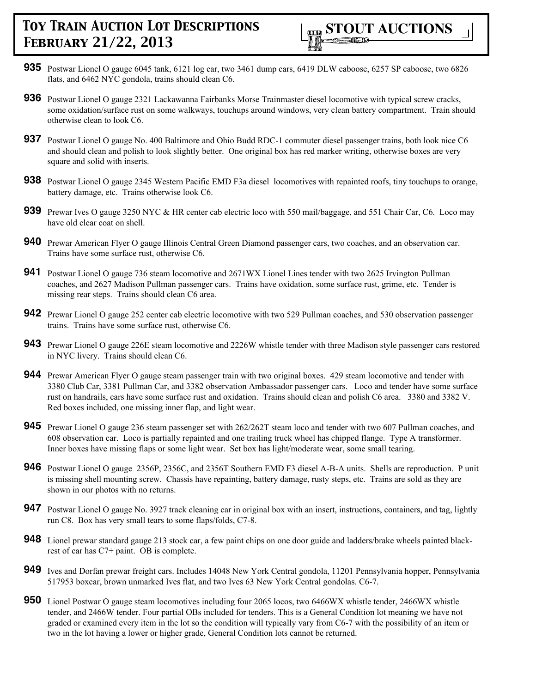

- **935** Postwar Lionel O gauge 6045 tank, 6121 log car, two 3461 dump cars, 6419 DLW caboose, 6257 SP caboose, two 6826 flats, and 6462 NYC gondola, trains should clean C6.
- **936** Postwar Lionel O gauge 2321 Lackawanna Fairbanks Morse Trainmaster diesel locomotive with typical screw cracks, some oxidation/surface rust on some walkways, touchups around windows, very clean battery compartment. Train should otherwise clean to look C6.
- **937** Postwar Lionel O gauge No. 400 Baltimore and Ohio Budd RDC-1 commuter diesel passenger trains, both look nice C6 and should clean and polish to look slightly better. One original box has red marker writing, otherwise boxes are very square and solid with inserts.
- **938** Postwar Lionel O gauge 2345 Western Pacific EMD F3a diesel locomotives with repainted roofs, tiny touchups to orange, battery damage, etc. Trains otherwise look C6.
- **939** Prewar Ives O gauge 3250 NYC & HR center cab electric loco with 550 mail/baggage, and 551 Chair Car, C6. Loco may have old clear coat on shell.
- **940** Prewar American Flyer O gauge Illinois Central Green Diamond passenger cars, two coaches, and an observation car. Trains have some surface rust, otherwise C6.
- **941** Postwar Lionel O gauge 736 steam locomotive and 2671WX Lionel Lines tender with two 2625 Irvington Pullman coaches, and 2627 Madison Pullman passenger cars. Trains have oxidation, some surface rust, grime, etc. Tender is missing rear steps. Trains should clean C6 area.
- **942** Prewar Lionel O gauge 252 center cab electric locomotive with two 529 Pullman coaches, and 530 observation passenger trains. Trains have some surface rust, otherwise C6.
- **943** Prewar Lionel O gauge 226E steam locomotive and 2226W whistle tender with three Madison style passenger cars restored in NYC livery. Trains should clean C6.
- **944** Prewar American Flyer O gauge steam passenger train with two original boxes. 429 steam locomotive and tender with 3380 Club Car, 3381 Pullman Car, and 3382 observation Ambassador passenger cars. Loco and tender have some surface rust on handrails, cars have some surface rust and oxidation. Trains should clean and polish C6 area. 3380 and 3382 V. Red boxes included, one missing inner flap, and light wear.
- **945** Prewar Lionel O gauge 236 steam passenger set with 262/262T steam loco and tender with two 607 Pullman coaches, and 608 observation car. Loco is partially repainted and one trailing truck wheel has chipped flange. Type A transformer. Inner boxes have missing flaps or some light wear. Set box has light/moderate wear, some small tearing.
- **946** Postwar Lionel O gauge 2356P, 2356C, and 2356T Southern EMD F3 diesel A-B-A units. Shells are reproduction. P unit is missing shell mounting screw. Chassis have repainting, battery damage, rusty steps, etc. Trains are sold as they are shown in our photos with no returns.
- **947** Postwar Lionel O gauge No. 3927 track cleaning car in original box with an insert, instructions, containers, and tag, lightly run C8. Box has very small tears to some flaps/folds, C7-8.
- **948** Lionel prewar standard gauge 213 stock car, a few paint chips on one door guide and ladders/brake wheels painted blackrest of car has C7+ paint. OB is complete.
- **949** Ives and Dorfan prewar freight cars. Includes 14048 New York Central gondola, 11201 Pennsylvania hopper, Pennsylvania 517953 boxcar, brown unmarked Ives flat, and two Ives 63 New York Central gondolas. C6-7.
- **950** Lionel Postwar O gauge steam locomotives including four 2065 locos, two 6466WX whistle tender, 2466WX whistle tender, and 2466W tender. Four partial OBs included for tenders. This is a General Condition lot meaning we have not graded or examined every item in the lot so the condition will typically vary from C6-7 with the possibility of an item or two in the lot having a lower or higher grade, General Condition lots cannot be returned.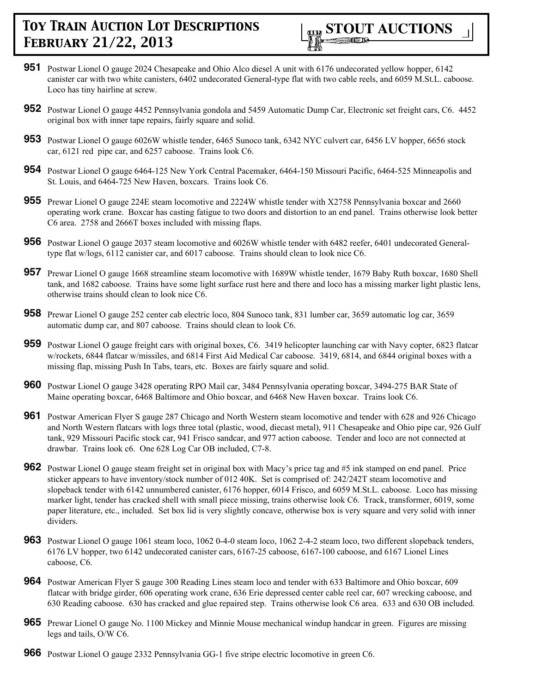

- **951** Postwar Lionel O gauge 2024 Chesapeake and Ohio Alco diesel A unit with 6176 undecorated yellow hopper, 6142 canister car with two white canisters, 6402 undecorated General-type flat with two cable reels, and 6059 M.St.L. caboose. Loco has tiny hairline at screw.
- **952** Postwar Lionel O gauge 4452 Pennsylvania gondola and 5459 Automatic Dump Car, Electronic set freight cars, C6. 4452 original box with inner tape repairs, fairly square and solid.
- **953** Postwar Lionel O gauge 6026W whistle tender, 6465 Sunoco tank, 6342 NYC culvert car, 6456 LV hopper, 6656 stock car, 6121 red pipe car, and 6257 caboose. Trains look C6.
- **954** Postwar Lionel O gauge 6464-125 New York Central Pacemaker, 6464-150 Missouri Pacific, 6464-525 Minneapolis and St. Louis, and 6464-725 New Haven, boxcars. Trains look C6.
- **955** Prewar Lionel O gauge 224E steam locomotive and 2224W whistle tender with X2758 Pennsylvania boxcar and 2660 operating work crane. Boxcar has casting fatigue to two doors and distortion to an end panel. Trains otherwise look better C6 area. 2758 and 2666T boxes included with missing flaps.
- **956** Postwar Lionel O gauge 2037 steam locomotive and 6026W whistle tender with 6482 reefer, 6401 undecorated Generaltype flat w/logs, 6112 canister car, and 6017 caboose. Trains should clean to look nice C6.
- **957** Prewar Lionel O gauge 1668 streamline steam locomotive with 1689W whistle tender, 1679 Baby Ruth boxcar, 1680 Shell tank, and 1682 caboose. Trains have some light surface rust here and there and loco has a missing marker light plastic lens, otherwise trains should clean to look nice C6.
- **958** Prewar Lionel O gauge 252 center cab electric loco, 804 Sunoco tank, 831 lumber car, 3659 automatic log car, 3659 automatic dump car, and 807 caboose. Trains should clean to look C6.
- **959** Postwar Lionel O gauge freight cars with original boxes, C6. 3419 helicopter launching car with Navy copter, 6823 flatcar w/rockets, 6844 flatcar w/missiles, and 6814 First Aid Medical Car caboose. 3419, 6814, and 6844 original boxes with a missing flap, missing Push In Tabs, tears, etc. Boxes are fairly square and solid.
- **960** Postwar Lionel O gauge 3428 operating RPO Mail car, 3484 Pennsylvania operating boxcar, 3494-275 BAR State of Maine operating boxcar, 6468 Baltimore and Ohio boxcar, and 6468 New Haven boxcar. Trains look C6.
- **961** Postwar American Flyer S gauge 287 Chicago and North Western steam locomotive and tender with 628 and 926 Chicago and North Western flatcars with logs three total (plastic, wood, diecast metal), 911 Chesapeake and Ohio pipe car, 926 Gulf tank, 929 Missouri Pacific stock car, 941 Frisco sandcar, and 977 action caboose. Tender and loco are not connected at drawbar. Trains look c6. One 628 Log Car OB included, C7-8.
- **962** Postwar Lionel O gauge steam freight set in original box with Macy's price tag and #5 ink stamped on end panel. Price sticker appears to have inventory/stock number of 012 40K. Set is comprised of: 242/242T steam locomotive and slopeback tender with 6142 unnumbered canister, 6176 hopper, 6014 Frisco, and 6059 M.St.L. caboose. Loco has missing marker light, tender has cracked shell with small piece missing, trains otherwise look C6. Track, transformer, 6019, some paper literature, etc., included. Set box lid is very slightly concave, otherwise box is very square and very solid with inner dividers.
- **963** Postwar Lionel O gauge 1061 steam loco, 1062 0-4-0 steam loco, 1062 2-4-2 steam loco, two different slopeback tenders, 6176 LV hopper, two 6142 undecorated canister cars, 6167-25 caboose, 6167-100 caboose, and 6167 Lionel Lines caboose, C6.
- **964** Postwar American Flyer S gauge 300 Reading Lines steam loco and tender with 633 Baltimore and Ohio boxcar, 609 flatcar with bridge girder, 606 operating work crane, 636 Erie depressed center cable reel car, 607 wrecking caboose, and 630 Reading caboose. 630 has cracked and glue repaired step. Trains otherwise look C6 area. 633 and 630 OB included.
- **965** Prewar Lionel O gauge No. 1100 Mickey and Minnie Mouse mechanical windup handcar in green. Figures are missing legs and tails, O/W C6.
- **966** Postwar Lionel O gauge 2332 Pennsylvania GG-1 five stripe electric locomotive in green C6.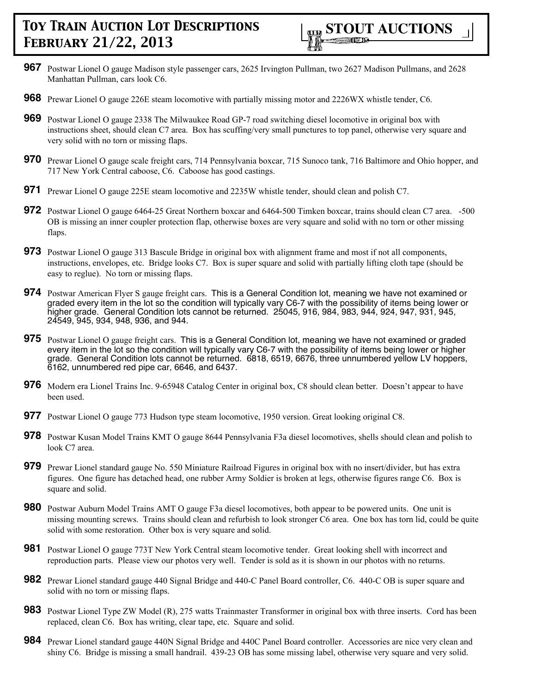

- **967** Postwar Lionel O gauge Madison style passenger cars, 2625 Irvington Pullman, two 2627 Madison Pullmans, and 2628 Manhattan Pullman, cars look C6.
- **968** Prewar Lionel O gauge 226E steam locomotive with partially missing motor and 2226WX whistle tender, C6.
- **969** Postwar Lionel O gauge 2338 The Milwaukee Road GP-7 road switching diesel locomotive in original box with instructions sheet, should clean C7 area. Box has scuffing/very small punctures to top panel, otherwise very square and very solid with no torn or missing flaps.
- **970** Prewar Lionel O gauge scale freight cars, 714 Pennsylvania boxcar, 715 Sunoco tank, 716 Baltimore and Ohio hopper, and 717 New York Central caboose, C6. Caboose has good castings.
- **971** Prewar Lionel O gauge 225E steam locomotive and 2235W whistle tender, should clean and polish C7.
- **972** Postwar Lionel O gauge 6464-25 Great Northern boxcar and 6464-500 Timken boxcar, trains should clean C7 area. -500 OB is missing an inner coupler protection flap, otherwise boxes are very square and solid with no torn or other missing flaps.
- **973** Postwar Lionel O gauge 313 Bascule Bridge in original box with alignment frame and most if not all components, instructions, envelopes, etc. Bridge looks C7. Box is super square and solid with partially lifting cloth tape (should be easy to reglue). No torn or missing flaps.
- **974** Postwar American Flyer S gauge freight cars. This is a General Condition lot, meaning we have not examined or graded every item in the lot so the condition will typically vary C6-7 with the possibility of items being lower or higher grade. General Condition lots cannot be returned. 25045, 916, 984, 983, 944, 924, 947, 931, 945, 24549, 945, 934, 948, 936, and 944.
- **975** Postwar Lionel O gauge freight cars. This is a General Condition lot, meaning we have not examined or graded every item in the lot so the condition will typically vary C6-7 with the possibility of items being lower or higher grade. General Condition lots cannot be returned. 6818, 6519, 6676, three unnumbered yellow LV hoppers, 6162, unnumbered red pipe car, 6646, and 6437.
- **976** Modern era Lionel Trains Inc. 9-65948 Catalog Center in original box, C8 should clean better. Doesn't appear to have been used.
- **977** Postwar Lionel O gauge 773 Hudson type steam locomotive, 1950 version. Great looking original C8.
- **978** Postwar Kusan Model Trains KMT O gauge 8644 Pennsylvania F3a diesel locomotives, shells should clean and polish to look C7 area.
- **979** Prewar Lionel standard gauge No. 550 Miniature Railroad Figures in original box with no insert/divider, but has extra figures. One figure has detached head, one rubber Army Soldier is broken at legs, otherwise figures range C6. Box is square and solid.
- **980** Postwar Auburn Model Trains AMT O gauge F3a diesel locomotives, both appear to be powered units. One unit is missing mounting screws. Trains should clean and refurbish to look stronger C6 area. One box has torn lid, could be quite solid with some restoration. Other box is very square and solid.
- **981** Postwar Lionel O gauge 773T New York Central steam locomotive tender. Great looking shell with incorrect and reproduction parts. Please view our photos very well. Tender is sold as it is shown in our photos with no returns.
- **982** Prewar Lionel standard gauge 440 Signal Bridge and 440-C Panel Board controller, C6. 440-C OB is super square and solid with no torn or missing flaps.
- **983** Postwar Lionel Type ZW Model (R), 275 watts Trainmaster Transformer in original box with three inserts. Cord has been replaced, clean C6. Box has writing, clear tape, etc. Square and solid.
- **984** Prewar Lionel standard gauge 440N Signal Bridge and 440C Panel Board controller. Accessories are nice very clean and shiny C6. Bridge is missing a small handrail. 439-23 OB has some missing label, otherwise very square and very solid.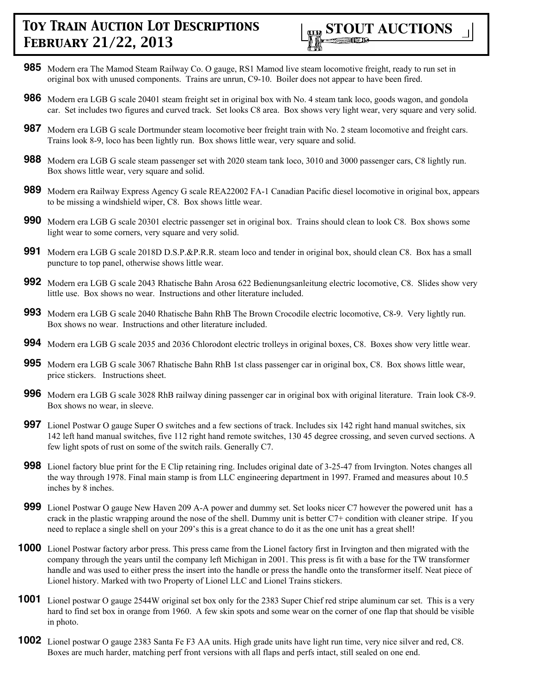

- **985** Modern era The Mamod Steam Railway Co. O gauge, RS1 Mamod live steam locomotive freight, ready to run set in original box with unused components. Trains are unrun, C9-10. Boiler does not appear to have been fired.
- **986** Modern era LGB G scale 20401 steam freight set in original box with No. 4 steam tank loco, goods wagon, and gondola car. Set includes two figures and curved track. Set looks C8 area. Box shows very light wear, very square and very solid.
- **987** Modern era LGB G scale Dortmunder steam locomotive beer freight train with No. 2 steam locomotive and freight cars. Trains look 8-9, loco has been lightly run. Box shows little wear, very square and solid.
- **988** Modern era LGB G scale steam passenger set with 2020 steam tank loco, 3010 and 3000 passenger cars, C8 lightly run. Box shows little wear, very square and solid.
- **989** Modern era Railway Express Agency G scale REA22002 FA-1 Canadian Pacific diesel locomotive in original box, appears to be missing a windshield wiper, C8. Box shows little wear.
- **990** Modern era LGB G scale 20301 electric passenger set in original box. Trains should clean to look C8. Box shows some light wear to some corners, very square and very solid.
- **991** Modern era LGB G scale 2018D D.S.P.&P.R.R. steam loco and tender in original box, should clean C8. Box has a small puncture to top panel, otherwise shows little wear.
- **992** Modern era LGB G scale 2043 Rhatische Bahn Arosa 622 Bedienungsanleitung electric locomotive, C8. Slides show very little use. Box shows no wear. Instructions and other literature included.
- **993** Modern era LGB G scale 2040 Rhatische Bahn RhB The Brown Crocodile electric locomotive, C8-9. Very lightly run. Box shows no wear. Instructions and other literature included.
- **994** Modern era LGB G scale 2035 and 2036 Chlorodont electric trolleys in original boxes, C8. Boxes show very little wear.
- **995** Modern era LGB G scale 3067 Rhatische Bahn RhB 1st class passenger car in original box, C8. Box shows little wear, price stickers. Instructions sheet.
- **996** Modern era LGB G scale 3028 RhB railway dining passenger car in original box with original literature. Train look C8-9. Box shows no wear, in sleeve.
- **997** Lionel Postwar O gauge Super O switches and a few sections of track. Includes six 142 right hand manual switches, six 142 left hand manual switches, five 112 right hand remote switches, 130 45 degree crossing, and seven curved sections. A few light spots of rust on some of the switch rails. Generally C7.
- **998** Lionel factory blue print for the E Clip retaining ring. Includes original date of 3-25-47 from Irvington. Notes changes all the way through 1978. Final main stamp is from LLC engineering department in 1997. Framed and measures about 10.5 inches by 8 inches.
- **999** Lionel Postwar O gauge New Haven 209 A-A power and dummy set. Set looks nicer C7 however the powered unit has a crack in the plastic wrapping around the nose of the shell. Dummy unit is better C7+ condition with cleaner stripe. If you need to replace a single shell on your 209's this is a great chance to do it as the one unit has a great shell!
- **1000** Lionel Postwar factory arbor press. This press came from the Lionel factory first in Irvington and then migrated with the company through the years until the company left Michigan in 2001. This press is fit with a base for the TW transformer handle and was used to either press the insert into the handle or press the handle onto the transformer itself. Neat piece of Lionel history. Marked with two Property of Lionel LLC and Lionel Trains stickers.
- **1001** Lionel postwar O gauge 2544W original set box only for the 2383 Super Chief red stripe aluminum car set. This is a very hard to find set box in orange from 1960. A few skin spots and some wear on the corner of one flap that should be visible in photo.
- **1002** Lionel postwar O gauge 2383 Santa Fe F3 AA units. High grade units have light run time, very nice silver and red, C8. Boxes are much harder, matching perf front versions with all flaps and perfs intact, still sealed on one end.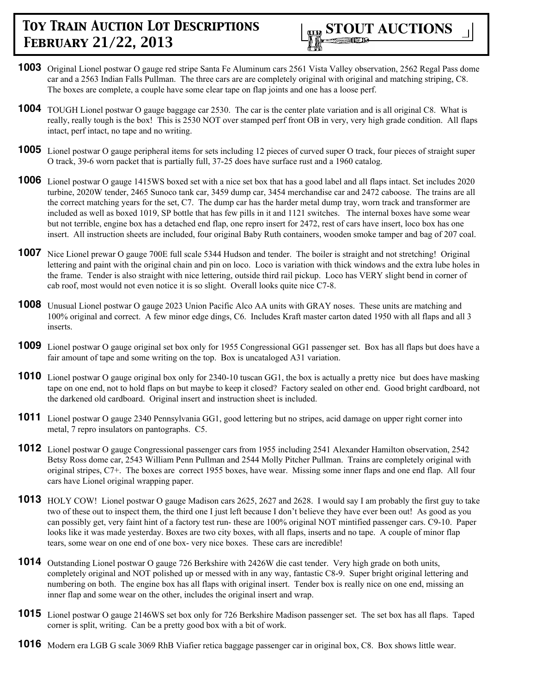

- **1003** Original Lionel postwar O gauge red stripe Santa Fe Aluminum cars 2561 Vista Valley observation, 2562 Regal Pass dome car and a 2563 Indian Falls Pullman. The three cars are are completely original with original and matching striping, C8. The boxes are complete, a couple have some clear tape on flap joints and one has a loose perf.
- **1004** TOUGH Lionel postwar O gauge baggage car 2530. The car is the center plate variation and is all original C8. What is really, really tough is the box! This is 2530 NOT over stamped perf front OB in very, very high grade condition. All flaps intact, perf intact, no tape and no writing.
- **1005** Lionel postwar O gauge peripheral items for sets including 12 pieces of curved super O track, four pieces of straight super O track, 39-6 worn packet that is partially full, 37-25 does have surface rust and a 1960 catalog.
- **1006** Lionel postwar O gauge 1415WS boxed set with a nice set box that has a good label and all flaps intact. Set includes 2020 turbine, 2020W tender, 2465 Sunoco tank car, 3459 dump car, 3454 merchandise car and 2472 caboose. The trains are all the correct matching years for the set, C7. The dump car has the harder metal dump tray, worn track and transformer are included as well as boxed 1019, SP bottle that has few pills in it and 1121 switches. The internal boxes have some wear but not terrible, engine box has a detached end flap, one repro insert for 2472, rest of cars have insert, loco box has one insert. All instruction sheets are included, four original Baby Ruth containers, wooden smoke tamper and bag of 207 coal.
- **1007** Nice Lionel prewar O gauge 700E full scale 5344 Hudson and tender. The boiler is straight and not stretching! Original lettering and paint with the original chain and pin on loco. Loco is variation with thick windows and the extra lube holes in the frame. Tender is also straight with nice lettering, outside third rail pickup. Loco has VERY slight bend in corner of cab roof, most would not even notice it is so slight. Overall looks quite nice C7-8.
- **1008** Unusual Lionel postwar O gauge 2023 Union Pacific Alco AA units with GRAY noses. These units are matching and 100% original and correct. A few minor edge dings, C6. Includes Kraft master carton dated 1950 with all flaps and all 3 inserts.
- **1009** Lionel postwar O gauge original set box only for 1955 Congressional GG1 passenger set. Box has all flaps but does have a fair amount of tape and some writing on the top. Box is uncataloged A31 variation.
- **1010** Lionel postwar O gauge original box only for 2340-10 tuscan GG1, the box is actually a pretty nice but does have masking tape on one end, not to hold flaps on but maybe to keep it closed? Factory sealed on other end. Good bright cardboard, not the darkened old cardboard. Original insert and instruction sheet is included.
- **1011** Lionel postwar O gauge 2340 Pennsylvania GG1, good lettering but no stripes, acid damage on upper right corner into metal, 7 repro insulators on pantographs. C5.
- **1012** Lionel postwar O gauge Congressional passenger cars from 1955 including 2541 Alexander Hamilton observation, 2542 Betsy Ross dome car, 2543 William Penn Pullman and 2544 Molly Pitcher Pullman. Trains are completely original with original stripes, C7+. The boxes are correct 1955 boxes, have wear. Missing some inner flaps and one end flap. All four cars have Lionel original wrapping paper.
- **1013** HOLY COW! Lionel postwar O gauge Madison cars 2625, 2627 and 2628. I would say I am probably the first guy to take two of these out to inspect them, the third one I just left because I don't believe they have ever been out! As good as you can possibly get, very faint hint of a factory test run- these are 100% original NOT mintified passenger cars. C9-10. Paper looks like it was made yesterday. Boxes are two city boxes, with all flaps, inserts and no tape. A couple of minor flap tears, some wear on one end of one box- very nice boxes. These cars are incredible!
- **1014** Outstanding Lionel postwar O gauge 726 Berkshire with 2426W die cast tender. Very high grade on both units, completely original and NOT polished up or messed with in any way, fantastic C8-9. Super bright original lettering and numbering on both. The engine box has all flaps with original insert. Tender box is really nice on one end, missing an inner flap and some wear on the other, includes the original insert and wrap.
- **1015** Lionel postwar O gauge 2146WS set box only for 726 Berkshire Madison passenger set. The set box has all flaps. Taped corner is split, writing. Can be a pretty good box with a bit of work.
- **1016** Modern era LGB G scale 3069 RhB Viafier retica baggage passenger car in original box, C8. Box shows little wear.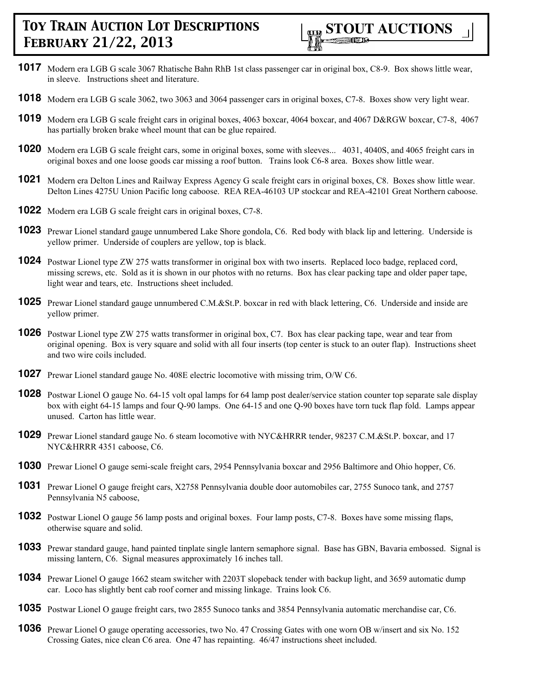

- **1017** Modern era LGB G scale 3067 Rhatische Bahn RhB 1st class passenger car in original box, C8-9. Box shows little wear, in sleeve. Instructions sheet and literature.
- **1018** Modern era LGB G scale 3062, two 3063 and 3064 passenger cars in original boxes, C7-8. Boxes show very light wear.
- **1019** Modern era LGB G scale freight cars in original boxes, 4063 boxcar, 4064 boxcar, and 4067 D&RGW boxcar, C7-8, 4067 has partially broken brake wheel mount that can be glue repaired.
- **1020** Modern era LGB G scale freight cars, some in original boxes, some with sleeves... 4031, 4040S, and 4065 freight cars in original boxes and one loose goods car missing a roof button. Trains look C6-8 area. Boxes show little wear.
- **1021** Modern era Delton Lines and Railway Express Agency G scale freight cars in original boxes, C8. Boxes show little wear. Delton Lines 4275U Union Pacific long caboose. REA REA-46103 UP stockcar and REA-42101 Great Northern caboose.
- **1022** Modern era LGB G scale freight cars in original boxes, C7-8.
- **1023** Prewar Lionel standard gauge unnumbered Lake Shore gondola, C6. Red body with black lip and lettering. Underside is yellow primer. Underside of couplers are yellow, top is black.
- **1024** Postwar Lionel type ZW 275 watts transformer in original box with two inserts. Replaced loco badge, replaced cord, missing screws, etc. Sold as it is shown in our photos with no returns. Box has clear packing tape and older paper tape, light wear and tears, etc. Instructions sheet included.
- **1025** Prewar Lionel standard gauge unnumbered C.M.&St.P. boxcar in red with black lettering, C6. Underside and inside are yellow primer.
- **1026** Postwar Lionel type ZW 275 watts transformer in original box, C7. Box has clear packing tape, wear and tear from original opening. Box is very square and solid with all four inserts (top center is stuck to an outer flap). Instructions sheet and two wire coils included.
- **1027** Prewar Lionel standard gauge No. 408E electric locomotive with missing trim, O/W C6.
- **1028** Postwar Lionel O gauge No. 64-15 volt opal lamps for 64 lamp post dealer/service station counter top separate sale display box with eight 64-15 lamps and four Q-90 lamps. One 64-15 and one Q-90 boxes have torn tuck flap fold. Lamps appear unused. Carton has little wear.
- **1029** Prewar Lionel standard gauge No. 6 steam locomotive with NYC&HRRR tender, 98237 C.M.&St.P. boxcar, and 17 NYC&HRRR 4351 caboose, C6.
- **1030** Prewar Lionel O gauge semi-scale freight cars, 2954 Pennsylvania boxcar and 2956 Baltimore and Ohio hopper, C6.
- **1031** Prewar Lionel O gauge freight cars, X2758 Pennsylvania double door automobiles car, 2755 Sunoco tank, and 2757 Pennsylvania N5 caboose,
- **1032** Postwar Lionel O gauge 56 lamp posts and original boxes. Four lamp posts, C7-8. Boxes have some missing flaps, otherwise square and solid.
- **1033** Prewar standard gauge, hand painted tinplate single lantern semaphore signal. Base has GBN, Bavaria embossed. Signal is missing lantern, C6. Signal measures approximately 16 inches tall.
- **1034** Prewar Lionel O gauge 1662 steam switcher with 2203T slopeback tender with backup light, and 3659 automatic dump car. Loco has slightly bent cab roof corner and missing linkage. Trains look C6.
- **1035** Postwar Lionel O gauge freight cars, two 2855 Sunoco tanks and 3854 Pennsylvania automatic merchandise car, C6.
- **1036** Prewar Lionel O gauge operating accessories, two No. 47 Crossing Gates with one worn OB w/insert and six No. 152 Crossing Gates, nice clean C6 area. One 47 has repainting. 46/47 instructions sheet included.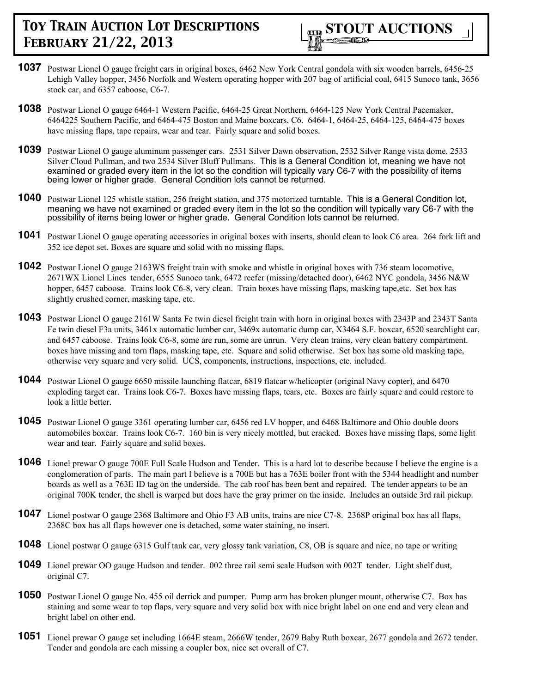

- **1037** Postwar Lionel O gauge freight cars in original boxes, 6462 New York Central gondola with six wooden barrels, 6456-25 Lehigh Valley hopper, 3456 Norfolk and Western operating hopper with 207 bag of artificial coal, 6415 Sunoco tank, 3656 stock car, and 6357 caboose, C6-7.
- **1038** Postwar Lionel O gauge 6464-1 Western Pacific, 6464-25 Great Northern, 6464-125 New York Central Pacemaker, 6464225 Southern Pacific, and 6464-475 Boston and Maine boxcars, C6. 6464-1, 6464-25, 6464-125, 6464-475 boxes have missing flaps, tape repairs, wear and tear. Fairly square and solid boxes.
- **1039** Postwar Lionel O gauge aluminum passenger cars. 2531 Silver Dawn observation, 2532 Silver Range vista dome, 2533 Silver Cloud Pullman, and two 2534 Silver Bluff Pullmans. This is a General Condition lot, meaning we have not examined or graded every item in the lot so the condition will typically vary C6-7 with the possibility of items being lower or higher grade. General Condition lots cannot be returned.
- **1040** Postwar Lionel 125 whistle station, 256 freight station, and 375 motorized turntable. This is a General Condition lot, meaning we have not examined or graded every item in the lot so the condition will typically vary C6-7 with the possibility of items being lower or higher grade. General Condition lots cannot be returned.
- **1041** Postwar Lionel O gauge operating accessories in original boxes with inserts, should clean to look C6 area. 264 fork lift and 352 ice depot set. Boxes are square and solid with no missing flaps.
- **1042** Postwar Lionel O gauge 2163WS freight train with smoke and whistle in original boxes with 736 steam locomotive, 2671WX Lionel Lines tender, 6555 Sunoco tank, 6472 reefer (missing/detached door), 6462 NYC gondola, 3456 N&W hopper, 6457 caboose. Trains look C6-8, very clean. Train boxes have missing flaps, masking tape,etc. Set box has slightly crushed corner, masking tape, etc.
- **1043** Postwar Lionel O gauge 2161W Santa Fe twin diesel freight train with horn in original boxes with 2343P and 2343T Santa Fe twin diesel F3a units, 3461x automatic lumber car, 3469x automatic dump car, X3464 S.F. boxcar, 6520 searchlight car, and 6457 caboose. Trains look C6-8, some are run, some are unrun. Very clean trains, very clean battery compartment. boxes have missing and torn flaps, masking tape, etc. Square and solid otherwise. Set box has some old masking tape, otherwise very square and very solid. UCS, components, instructions, inspections, etc. included.
- **1044** Postwar Lionel O gauge 6650 missile launching flatcar, 6819 flatcar w/helicopter (original Navy copter), and 6470 exploding target car. Trains look C6-7. Boxes have missing flaps, tears, etc. Boxes are fairly square and could restore to look a little better.
- **1045** Postwar Lionel O gauge 3361 operating lumber car, 6456 red LV hopper, and 6468 Baltimore and Ohio double doors automobiles boxcar. Trains look C6-7. 160 bin is very nicely mottled, but cracked. Boxes have missing flaps, some light wear and tear. Fairly square and solid boxes.
- **1046** Lionel prewar O gauge 700E Full Scale Hudson and Tender. This is a hard lot to describe because I believe the engine is a conglomeration of parts. The main part I believe is a 700E but has a 763E boiler front with the 5344 headlight and number boards as well as a 763E ID tag on the underside. The cab roof has been bent and repaired. The tender appears to be an original 700K tender, the shell is warped but does have the gray primer on the inside. Includes an outside 3rd rail pickup.
- **1047** Lionel postwar O gauge 2368 Baltimore and Ohio F3 AB units, trains are nice C7-8. 2368P original box has all flaps, 2368C box has all flaps however one is detached, some water staining, no insert.
- **1048** Lionel postwar O gauge 6315 Gulf tank car, very glossy tank variation, C8, OB is square and nice, no tape or writing
- **1049** Lionel prewar OO gauge Hudson and tender. 002 three rail semi scale Hudson with 002T tender. Light shelf dust, original C7.
- **1050** Postwar Lionel O gauge No. 455 oil derrick and pumper. Pump arm has broken plunger mount, otherwise C7. Box has staining and some wear to top flaps, very square and very solid box with nice bright label on one end and very clean and bright label on other end.
- **1051** Lionel prewar O gauge set including 1664E steam, 2666W tender, 2679 Baby Ruth boxcar, 2677 gondola and 2672 tender. Tender and gondola are each missing a coupler box, nice set overall of C7.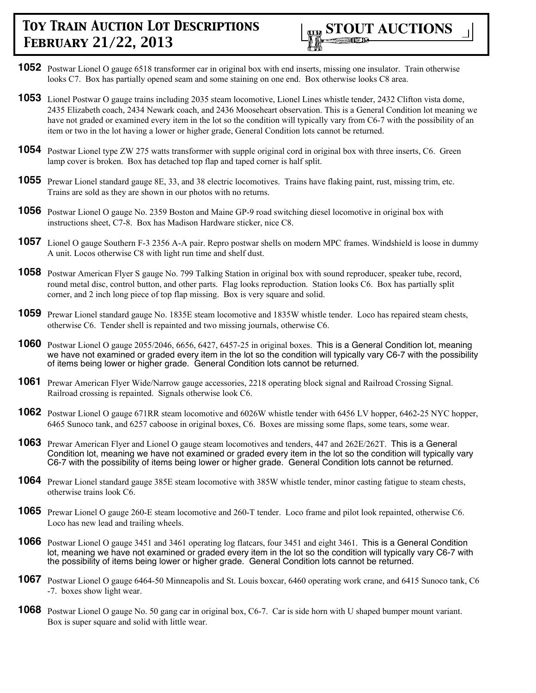

- **1052** Postwar Lionel O gauge 6518 transformer car in original box with end inserts, missing one insulator. Train otherwise looks C7. Box has partially opened seam and some staining on one end. Box otherwise looks C8 area.
- **1053** Lionel Postwar O gauge trains including 2035 steam locomotive, Lionel Lines whistle tender, 2432 Clifton vista dome, 2435 Elizabeth coach, 2434 Newark coach, and 2436 Mooseheart observation. This is a General Condition lot meaning we have not graded or examined every item in the lot so the condition will typically vary from C6-7 with the possibility of an item or two in the lot having a lower or higher grade, General Condition lots cannot be returned.
- **1054** Postwar Lionel type ZW 275 watts transformer with supple original cord in original box with three inserts, C6. Green lamp cover is broken. Box has detached top flap and taped corner is half split.
- **1055** Prewar Lionel standard gauge 8E, 33, and 38 electric locomotives. Trains have flaking paint, rust, missing trim, etc. Trains are sold as they are shown in our photos with no returns.
- **1056** Postwar Lionel O gauge No. 2359 Boston and Maine GP-9 road switching diesel locomotive in original box with instructions sheet, C7-8. Box has Madison Hardware sticker, nice C8.
- **1057** Lionel O gauge Southern F-3 2356 A-A pair. Repro postwar shells on modern MPC frames. Windshield is loose in dummy A unit. Locos otherwise C8 with light run time and shelf dust.
- **1058** Postwar American Flyer S gauge No. 799 Talking Station in original box with sound reproducer, speaker tube, record, round metal disc, control button, and other parts. Flag looks reproduction. Station looks C6. Box has partially split corner, and 2 inch long piece of top flap missing. Box is very square and solid.
- **1059** Prewar Lionel standard gauge No. 1835E steam locomotive and 1835W whistle tender. Loco has repaired steam chests, otherwise C6. Tender shell is repainted and two missing journals, otherwise C6.
- **1060** Postwar Lionel O gauge 2055/2046, 6656, 6427, 6457-25 in original boxes. This is a General Condition lot, meaning we have not examined or graded every item in the lot so the condition will typically vary C6-7 with the possibility of items being lower or higher grade. General Condition lots cannot be returned.
- **1061** Prewar American Flyer Wide/Narrow gauge accessories, 2218 operating block signal and Railroad Crossing Signal. Railroad crossing is repainted. Signals otherwise look C6.
- **1062** Postwar Lionel O gauge 671RR steam locomotive and 6026W whistle tender with 6456 LV hopper, 6462-25 NYC hopper, 6465 Sunoco tank, and 6257 caboose in original boxes, C6. Boxes are missing some flaps, some tears, some wear.
- **1063** Prewar American Flyer and Lionel O gauge steam locomotives and tenders, 447 and 262E/262T. This is a General Condition lot, meaning we have not examined or graded every item in the lot so the condition will typically vary C6-7 with the possibility of items being lower or higher grade. General Condition lots cannot be returned.
- **1064** Prewar Lionel standard gauge 385E steam locomotive with 385W whistle tender, minor casting fatigue to steam chests, otherwise trains look C6.
- **1065** Prewar Lionel O gauge 260-E steam locomotive and 260-T tender. Loco frame and pilot look repainted, otherwise C6. Loco has new lead and trailing wheels.
- **1066** Postwar Lionel O gauge 3451 and 3461 operating log flatcars, four 3451 and eight 3461. This is a General Condition lot, meaning we have not examined or graded every item in the lot so the condition will typically vary C6-7 with the possibility of items being lower or higher grade. General Condition lots cannot be returned.
- **1067** Postwar Lionel O gauge 6464-50 Minneapolis and St. Louis boxcar, 6460 operating work crane, and 6415 Sunoco tank, C6 -7. boxes show light wear.
- **1068** Postwar Lionel O gauge No. 50 gang car in original box, C6-7. Car is side horn with U shaped bumper mount variant. Box is super square and solid with little wear.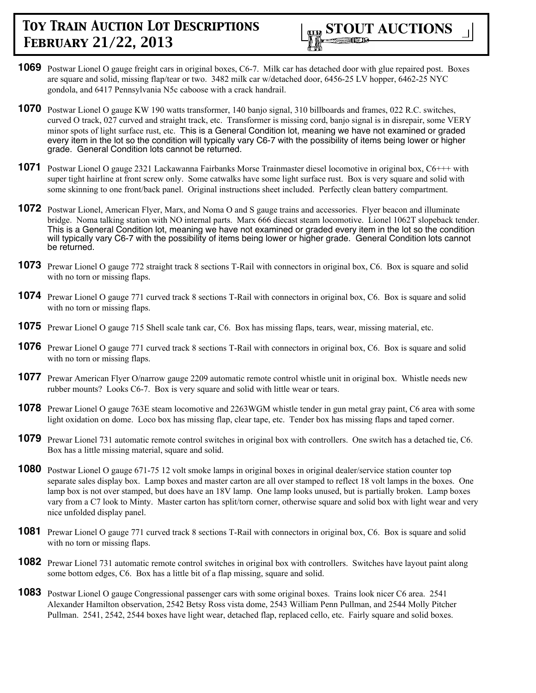

- **1069** Postwar Lionel O gauge freight cars in original boxes, C6-7. Milk car has detached door with glue repaired post. Boxes are square and solid, missing flap/tear or two. 3482 milk car w/detached door, 6456-25 LV hopper, 6462-25 NYC gondola, and 6417 Pennsylvania N5c caboose with a crack handrail.
- **1070** Postwar Lionel O gauge KW 190 watts transformer, 140 banjo signal, 310 billboards and frames, 022 R.C. switches, curved O track, 027 curved and straight track, etc. Transformer is missing cord, banjo signal is in disrepair, some VERY minor spots of light surface rust, etc. This is a General Condition lot, meaning we have not examined or graded every item in the lot so the condition will typically vary C6-7 with the possibility of items being lower or higher grade. General Condition lots cannot be returned.
- **1071** Postwar Lionel O gauge 2321 Lackawanna Fairbanks Morse Trainmaster diesel locomotive in original box, C6+++ with super tight hairline at front screw only. Some catwalks have some light surface rust. Box is very square and solid with some skinning to one front/back panel. Original instructions sheet included. Perfectly clean battery compartment.
- **1072** Postwar Lionel, American Flyer, Marx, and Noma O and S gauge trains and accessories. Flyer beacon and illuminate bridge. Noma talking station with NO internal parts. Marx 666 diecast steam locomotive. Lionel 1062T slopeback tender. This is a General Condition lot, meaning we have not examined or graded every item in the lot so the condition will typically vary C6-7 with the possibility of items being lower or higher grade. General Condition lots cannot be returned.
- **1073** Prewar Lionel O gauge 772 straight track 8 sections T-Rail with connectors in original box, C6. Box is square and solid with no torn or missing flaps.
- **1074** Prewar Lionel O gauge 771 curved track 8 sections T-Rail with connectors in original box, C6. Box is square and solid with no torn or missing flaps.
- **1075** Prewar Lionel O gauge 715 Shell scale tank car, C6. Box has missing flaps, tears, wear, missing material, etc.
- **1076** Prewar Lionel O gauge 771 curved track 8 sections T-Rail with connectors in original box, C6. Box is square and solid with no torn or missing flaps.
- **1077** Prewar American Flyer O/narrow gauge 2209 automatic remote control whistle unit in original box. Whistle needs new rubber mounts? Looks C6-7. Box is very square and solid with little wear or tears.
- **1078** Prewar Lionel O gauge 763E steam locomotive and 2263WGM whistle tender in gun metal gray paint, C6 area with some light oxidation on dome. Loco box has missing flap, clear tape, etc. Tender box has missing flaps and taped corner.
- **1079** Prewar Lionel 731 automatic remote control switches in original box with controllers. One switch has a detached tie, C6. Box has a little missing material, square and solid.
- **1080** Postwar Lionel O gauge 671-75 12 volt smoke lamps in original boxes in original dealer/service station counter top separate sales display box. Lamp boxes and master carton are all over stamped to reflect 18 volt lamps in the boxes. One lamp box is not over stamped, but does have an 18V lamp. One lamp looks unused, but is partially broken. Lamp boxes vary from a C7 look to Minty. Master carton has split/torn corner, otherwise square and solid box with light wear and very nice unfolded display panel.
- **1081** Prewar Lionel O gauge 771 curved track 8 sections T-Rail with connectors in original box, C6. Box is square and solid with no torn or missing flaps.
- **1082** Prewar Lionel 731 automatic remote control switches in original box with controllers. Switches have layout paint along some bottom edges, C6. Box has a little bit of a flap missing, square and solid.
- **1083** Postwar Lionel O gauge Congressional passenger cars with some original boxes. Trains look nicer C6 area. 2541 Alexander Hamilton observation, 2542 Betsy Ross vista dome, 2543 William Penn Pullman, and 2544 Molly Pitcher Pullman. 2541, 2542, 2544 boxes have light wear, detached flap, replaced cello, etc. Fairly square and solid boxes.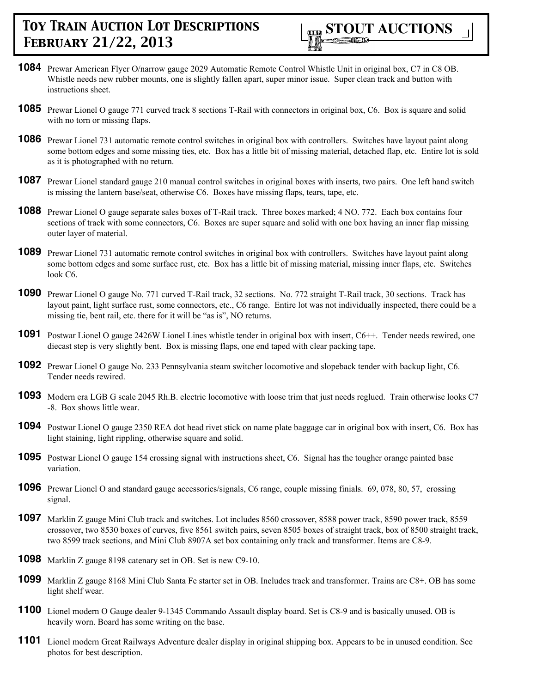

- **1084** Prewar American Flyer O/narrow gauge 2029 Automatic Remote Control Whistle Unit in original box, C7 in C8 OB. Whistle needs new rubber mounts, one is slightly fallen apart, super minor issue. Super clean track and button with instructions sheet.
- **1085** Prewar Lionel O gauge 771 curved track 8 sections T-Rail with connectors in original box, C6. Box is square and solid with no torn or missing flaps.
- **1086** Prewar Lionel 731 automatic remote control switches in original box with controllers. Switches have layout paint along some bottom edges and some missing ties, etc. Box has a little bit of missing material, detached flap, etc. Entire lot is sold as it is photographed with no return.
- **1087** Prewar Lionel standard gauge 210 manual control switches in original boxes with inserts, two pairs. One left hand switch is missing the lantern base/seat, otherwise C6. Boxes have missing flaps, tears, tape, etc.
- **1088** Prewar Lionel O gauge separate sales boxes of T-Rail track. Three boxes marked; 4 NO. 772. Each box contains four sections of track with some connectors, C6. Boxes are super square and solid with one box having an inner flap missing outer layer of material.
- **1089** Prewar Lionel 731 automatic remote control switches in original box with controllers. Switches have layout paint along some bottom edges and some surface rust, etc. Box has a little bit of missing material, missing inner flaps, etc. Switches look C6.
- **1090** Prewar Lionel O gauge No. 771 curved T-Rail track, 32 sections. No. 772 straight T-Rail track, 30 sections. Track has layout paint, light surface rust, some connectors, etc., C6 range. Entire lot was not individually inspected, there could be a missing tie, bent rail, etc. there for it will be "as is", NO returns.
- **1091** Postwar Lionel O gauge 2426W Lionel Lines whistle tender in original box with insert, C6++. Tender needs rewired, one diecast step is very slightly bent. Box is missing flaps, one end taped with clear packing tape.
- **1092** Prewar Lionel O gauge No. 233 Pennsylvania steam switcher locomotive and slopeback tender with backup light, C6. Tender needs rewired.
- **1093** Modern era LGB G scale 2045 Rh.B. electric locomotive with loose trim that just needs reglued. Train otherwise looks C7 -8. Box shows little wear.
- **1094** Postwar Lionel O gauge 2350 REA dot head rivet stick on name plate baggage car in original box with insert, C6. Box has light staining, light rippling, otherwise square and solid.
- **1095** Postwar Lionel O gauge 154 crossing signal with instructions sheet, C6. Signal has the tougher orange painted base variation.
- **1096** Prewar Lionel O and standard gauge accessories/signals, C6 range, couple missing finials. 69, 078, 80, 57, crossing signal.
- **1097** Marklin Z gauge Mini Club track and switches. Lot includes 8560 crossover, 8588 power track, 8590 power track, 8559 crossover, two 8530 boxes of curves, five 8561 switch pairs, seven 8505 boxes of straight track, box of 8500 straight track, two 8599 track sections, and Mini Club 8907A set box containing only track and transformer. Items are C8-9.
- **1098** Marklin Z gauge 8198 catenary set in OB. Set is new C9-10.
- **1099** Marklin Z gauge 8168 Mini Club Santa Fe starter set in OB. Includes track and transformer. Trains are C8+. OB has some light shelf wear.
- **1100** Lionel modern O Gauge dealer 9-1345 Commando Assault display board. Set is C8-9 and is basically unused. OB is heavily worn. Board has some writing on the base.
- **1101** Lionel modern Great Railways Adventure dealer display in original shipping box. Appears to be in unused condition. See photos for best description.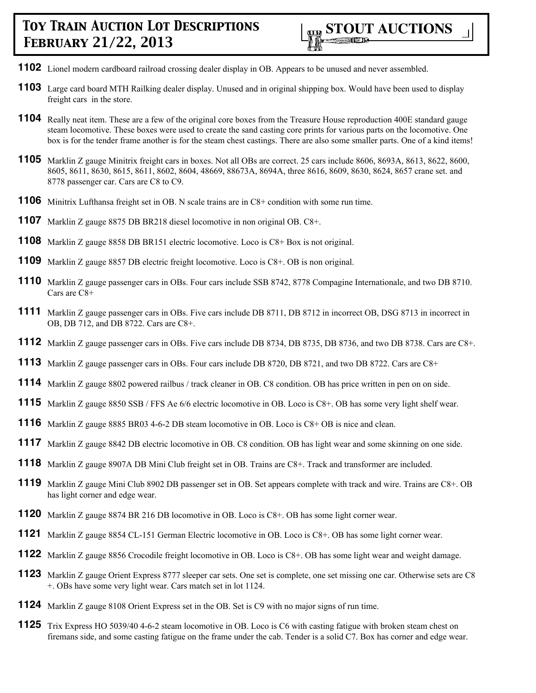- Lionel modern cardboard railroad crossing dealer display in OB. Appears to be unused and never assembled.
- Large card board MTH Railking dealer display. Unused and in original shipping box. Would have been used to display freight cars in the store.
- Really neat item. These are a few of the original core boxes from the Treasure House reproduction 400E standard gauge steam locomotive. These boxes were used to create the sand casting core prints for various parts on the locomotive. One box is for the tender frame another is for the steam chest castings. There are also some smaller parts. One of a kind items!
- Marklin Z gauge Minitrix freight cars in boxes. Not all OBs are correct. 25 cars include 8606, 8693A, 8613, 8622, 8600, 8605, 8611, 8630, 8615, 8611, 8602, 8604, 48669, 88673A, 8694A, three 8616, 8609, 8630, 8624, 8657 crane set. and passenger car. Cars are C8 to C9.
- Minitrix Lufthansa freight set in OB. N scale trains are in C8+ condition with some run time.
- Marklin Z gauge 8875 DB BR218 diesel locomotive in non original OB. C8+.
- Marklin Z gauge 8858 DB BR151 electric locomotive. Loco is C8+ Box is not original.
- Marklin Z gauge 8857 DB electric freight locomotive. Loco is C8+. OB is non original.
- Marklin Z gauge passenger cars in OBs. Four cars include SSB 8742, 8778 Compagine Internationale, and two DB 8710. Cars are C8+
- Marklin Z gauge passenger cars in OBs. Five cars include DB 8711, DB 8712 in incorrect OB, DSG 8713 in incorrect in OB, DB 712, and DB 8722. Cars are C8+.
- Marklin Z gauge passenger cars in OBs. Five cars include DB 8734, DB 8735, DB 8736, and two DB 8738. Cars are C8+.
- Marklin Z gauge passenger cars in OBs. Four cars include DB 8720, DB 8721, and two DB 8722. Cars are C8+
- Marklin Z gauge 8802 powered railbus / track cleaner in OB. C8 condition. OB has price written in pen on on side.
- Marklin Z gauge 8850 SSB / FFS Ae 6/6 electric locomotive in OB. Loco is C8+. OB has some very light shelf wear.
- Marklin Z gauge 8885 BR03 4-6-2 DB steam locomotive in OB. Loco is C8+ OB is nice and clean.
- Marklin Z gauge 8842 DB electric locomotive in OB. C8 condition. OB has light wear and some skinning on one side.
- Marklin Z gauge 8907A DB Mini Club freight set in OB. Trains are C8+. Track and transformer are included.
- Marklin Z gauge Mini Club 8902 DB passenger set in OB. Set appears complete with track and wire. Trains are C8+. OB has light corner and edge wear.
- Marklin Z gauge 8874 BR 216 DB locomotive in OB. Loco is C8+. OB has some light corner wear.
- Marklin Z gauge 8854 CL-151 German Electric locomotive in OB. Loco is C8+. OB has some light corner wear.
- Marklin Z gauge 8856 Crocodile freight locomotive in OB. Loco is C8+. OB has some light wear and weight damage.
- Marklin Z gauge Orient Express 8777 sleeper car sets. One set is complete, one set missing one car. Otherwise sets are C8 +. OBs have some very light wear. Cars match set in lot 1124.
- Marklin Z gauge 8108 Orient Express set in the OB. Set is C9 with no major signs of run time.
- Trix Express HO 5039/40 4-6-2 steam locomotive in OB. Loco is C6 with casting fatigue with broken steam chest on firemans side, and some casting fatigue on the frame under the cab. Tender is a solid C7. Box has corner and edge wear.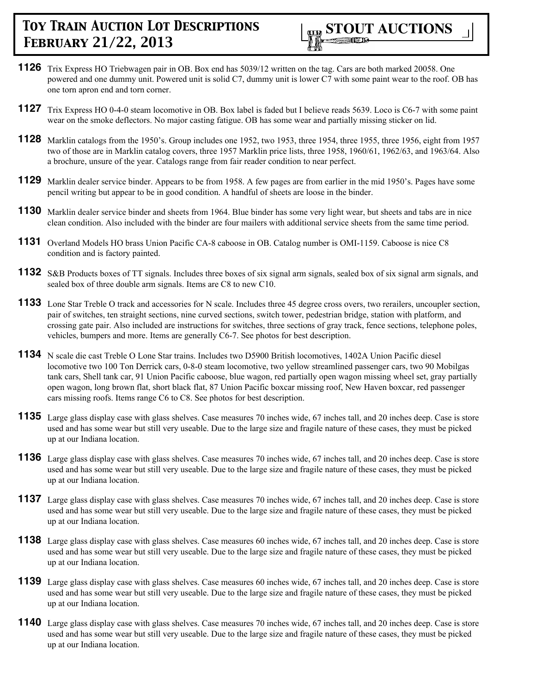

- **1126** Trix Express HO Triebwagen pair in OB. Box end has 5039/12 written on the tag. Cars are both marked 20058. One powered and one dummy unit. Powered unit is solid C7, dummy unit is lower C7 with some paint wear to the roof. OB has one torn apron end and torn corner.
- **1127** Trix Express HO 0-4-0 steam locomotive in OB. Box label is faded but I believe reads 5639. Loco is C6-7 with some paint wear on the smoke deflectors. No major casting fatigue. OB has some wear and partially missing sticker on lid.
- **1128** Marklin catalogs from the 1950's. Group includes one 1952, two 1953, three 1954, three 1955, three 1956, eight from 1957 two of those are in Marklin catalog covers, three 1957 Marklin price lists, three 1958, 1960/61, 1962/63, and 1963/64. Also a brochure, unsure of the year. Catalogs range from fair reader condition to near perfect.
- **1129** Marklin dealer service binder. Appears to be from 1958. A few pages are from earlier in the mid 1950's. Pages have some pencil writing but appear to be in good condition. A handful of sheets are loose in the binder.
- **1130** Marklin dealer service binder and sheets from 1964. Blue binder has some very light wear, but sheets and tabs are in nice clean condition. Also included with the binder are four mailers with additional service sheets from the same time period.
- **1131** Overland Models HO brass Union Pacific CA-8 caboose in OB. Catalog number is OMI-1159. Caboose is nice C8 condition and is factory painted.
- **1132** S&B Products boxes of TT signals. Includes three boxes of six signal arm signals, sealed box of six signal arm signals, and sealed box of three double arm signals. Items are C8 to new C10.
- **1133** Lone Star Treble O track and accessories for N scale. Includes three 45 degree cross overs, two rerailers, uncoupler section, pair of switches, ten straight sections, nine curved sections, switch tower, pedestrian bridge, station with platform, and crossing gate pair. Also included are instructions for switches, three sections of gray track, fence sections, telephone poles, vehicles, bumpers and more. Items are generally C6-7. See photos for best description.
- **1134** N scale die cast Treble O Lone Star trains. Includes two D5900 British locomotives, 1402A Union Pacific diesel locomotive two 100 Ton Derrick cars, 0-8-0 steam locomotive, two yellow streamlined passenger cars, two 90 Mobilgas tank cars, Shell tank car, 91 Union Pacific caboose, blue wagon, red partially open wagon missing wheel set, gray partially open wagon, long brown flat, short black flat, 87 Union Pacific boxcar missing roof, New Haven boxcar, red passenger cars missing roofs. Items range C6 to C8. See photos for best description.
- **1135** Large glass display case with glass shelves. Case measures 70 inches wide, 67 inches tall, and 20 inches deep. Case is store used and has some wear but still very useable. Due to the large size and fragile nature of these cases, they must be picked up at our Indiana location.
- **1136** Large glass display case with glass shelves. Case measures 70 inches wide, 67 inches tall, and 20 inches deep. Case is store used and has some wear but still very useable. Due to the large size and fragile nature of these cases, they must be picked up at our Indiana location.
- **1137** Large glass display case with glass shelves. Case measures 70 inches wide, 67 inches tall, and 20 inches deep. Case is store used and has some wear but still very useable. Due to the large size and fragile nature of these cases, they must be picked up at our Indiana location.
- **1138** Large glass display case with glass shelves. Case measures 60 inches wide, 67 inches tall, and 20 inches deep. Case is store used and has some wear but still very useable. Due to the large size and fragile nature of these cases, they must be picked up at our Indiana location.
- **1139** Large glass display case with glass shelves. Case measures 60 inches wide, 67 inches tall, and 20 inches deep. Case is store used and has some wear but still very useable. Due to the large size and fragile nature of these cases, they must be picked up at our Indiana location.
- **1140** Large glass display case with glass shelves. Case measures 70 inches wide, 67 inches tall, and 20 inches deep. Case is store used and has some wear but still very useable. Due to the large size and fragile nature of these cases, they must be picked up at our Indiana location.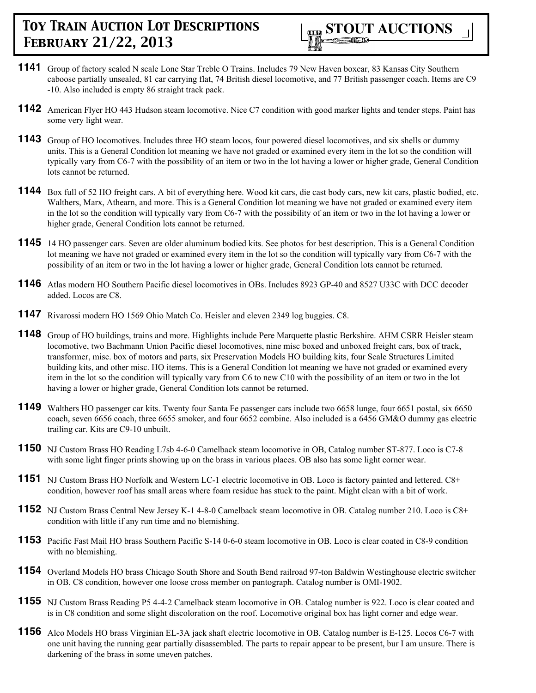

- **1141** Group of factory sealed N scale Lone Star Treble O Trains. Includes 79 New Haven boxcar, 83 Kansas City Southern caboose partially unsealed, 81 car carrying flat, 74 British diesel locomotive, and 77 British passenger coach. Items are C9 -10. Also included is empty 86 straight track pack.
- **1142** American Flyer HO 443 Hudson steam locomotive. Nice C7 condition with good marker lights and tender steps. Paint has some very light wear.
- **1143** Group of HO locomotives. Includes three HO steam locos, four powered diesel locomotives, and six shells or dummy units. This is a General Condition lot meaning we have not graded or examined every item in the lot so the condition will typically vary from C6-7 with the possibility of an item or two in the lot having a lower or higher grade, General Condition lots cannot be returned.
- **1144** Box full of 52 HO freight cars. A bit of everything here. Wood kit cars, die cast body cars, new kit cars, plastic bodied, etc. Walthers, Marx, Athearn, and more. This is a General Condition lot meaning we have not graded or examined every item in the lot so the condition will typically vary from C6-7 with the possibility of an item or two in the lot having a lower or higher grade, General Condition lots cannot be returned.
- **1145** 14 HO passenger cars. Seven are older aluminum bodied kits. See photos for best description. This is a General Condition lot meaning we have not graded or examined every item in the lot so the condition will typically vary from C6-7 with the possibility of an item or two in the lot having a lower or higher grade, General Condition lots cannot be returned.
- **1146** Atlas modern HO Southern Pacific diesel locomotives in OBs. Includes 8923 GP-40 and 8527 U33C with DCC decoder added. Locos are C8.
- **1147** Rivarossi modern HO 1569 Ohio Match Co. Heisler and eleven 2349 log buggies. C8.
- **1148** Group of HO buildings, trains and more. Highlights include Pere Marquette plastic Berkshire. AHM CSRR Heisler steam locomotive, two Bachmann Union Pacific diesel locomotives, nine misc boxed and unboxed freight cars, box of track, transformer, misc. box of motors and parts, six Preservation Models HO building kits, four Scale Structures Limited building kits, and other misc. HO items. This is a General Condition lot meaning we have not graded or examined every item in the lot so the condition will typically vary from C6 to new C10 with the possibility of an item or two in the lot having a lower or higher grade, General Condition lots cannot be returned.
- **1149** Walthers HO passenger car kits. Twenty four Santa Fe passenger cars include two 6658 lunge, four 6651 postal, six 6650 coach, seven 6656 coach, three 6655 smoker, and four 6652 combine. Also included is a 6456 GM&O dummy gas electric trailing car. Kits are C9-10 unbuilt.
- **1150** NJ Custom Brass HO Reading L7sb 4-6-0 Camelback steam locomotive in OB, Catalog number ST-877. Loco is C7-8 with some light finger prints showing up on the brass in various places. OB also has some light corner wear.
- **1151** NJ Custom Brass HO Norfolk and Western LC-1 electric locomotive in OB. Loco is factory painted and lettered. C8+ condition, however roof has small areas where foam residue has stuck to the paint. Might clean with a bit of work.
- **1152** NJ Custom Brass Central New Jersey K-1 4-8-0 Camelback steam locomotive in OB. Catalog number 210. Loco is C8+ condition with little if any run time and no blemishing.
- **1153** Pacific Fast Mail HO brass Southern Pacific S-14 0-6-0 steam locomotive in OB. Loco is clear coated in C8-9 condition with no blemishing.
- **1154** Overland Models HO brass Chicago South Shore and South Bend railroad 97-ton Baldwin Westinghouse electric switcher in OB. C8 condition, however one loose cross member on pantograph. Catalog number is OMI-1902.
- **1155** NJ Custom Brass Reading P5 4-4-2 Camelback steam locomotive in OB. Catalog number is 922. Loco is clear coated and is in C8 condition and some slight discoloration on the roof. Locomotive original box has light corner and edge wear.
- **1156** Alco Models HO brass Virginian EL-3A jack shaft electric locomotive in OB. Catalog number is E-125. Locos C6-7 with one unit having the running gear partially disassembled. The parts to repair appear to be present, bur I am unsure. There is darkening of the brass in some uneven patches.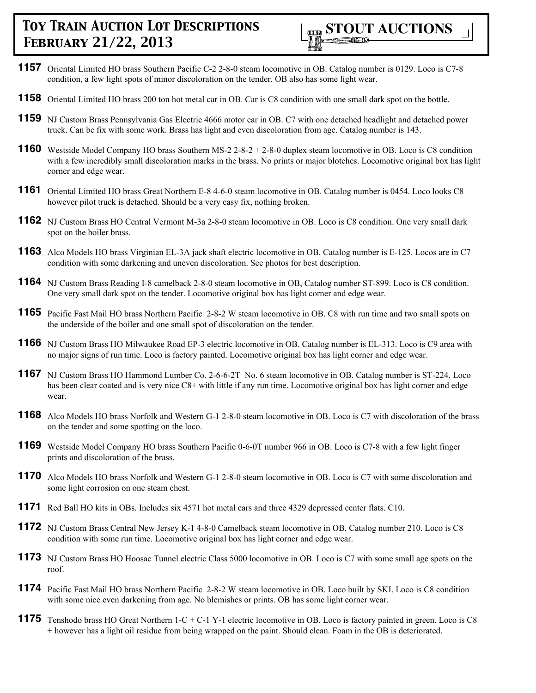

- **1157** Oriental Limited HO brass Southern Pacific C-2 2-8-0 steam locomotive in OB. Catalog number is 0129. Loco is C7-8 condition, a few light spots of minor discoloration on the tender. OB also has some light wear.
- **1158** Oriental Limited HO brass 200 ton hot metal car in OB. Car is C8 condition with one small dark spot on the bottle.
- **1159** NJ Custom Brass Pennsylvania Gas Electric 4666 motor car in OB. C7 with one detached headlight and detached power truck. Can be fix with some work. Brass has light and even discoloration from age. Catalog number is 143.
- **1160** Westside Model Company HO brass Southern MS-2 2-8-2 + 2-8-0 duplex steam locomotive in OB. Loco is C8 condition with a few incredibly small discoloration marks in the brass. No prints or major blotches. Locomotive original box has light corner and edge wear.
- **1161** Oriental Limited HO brass Great Northern E-8 4-6-0 steam locomotive in OB. Catalog number is 0454. Loco looks C8 however pilot truck is detached. Should be a very easy fix, nothing broken.
- **1162** NJ Custom Brass HO Central Vermont M-3a 2-8-0 steam locomotive in OB. Loco is C8 condition. One very small dark spot on the boiler brass.
- **1163** Alco Models HO brass Virginian EL-3A jack shaft electric locomotive in OB. Catalog number is E-125. Locos are in C7 condition with some darkening and uneven discoloration. See photos for best description.
- **1164** NJ Custom Brass Reading I-8 camelback 2-8-0 steam locomotive in OB, Catalog number ST-899. Loco is C8 condition. One very small dark spot on the tender. Locomotive original box has light corner and edge wear.
- **1165** Pacific Fast Mail HO brass Northern Pacific 2-8-2 W steam locomotive in OB. C8 with run time and two small spots on the underside of the boiler and one small spot of discoloration on the tender.
- **1166** NJ Custom Brass HO Milwaukee Road EP-3 electric locomotive in OB. Catalog number is EL-313. Loco is C9 area with no major signs of run time. Loco is factory painted. Locomotive original box has light corner and edge wear.
- **1167** NJ Custom Brass HO Hammond Lumber Co. 2-6-6-2T No. 6 steam locomotive in OB. Catalog number is ST-224. Loco has been clear coated and is very nice C8+ with little if any run time. Locomotive original box has light corner and edge wear.
- **1168** Alco Models HO brass Norfolk and Western G-1 2-8-0 steam locomotive in OB. Loco is C7 with discoloration of the brass on the tender and some spotting on the loco.
- **1169** Westside Model Company HO brass Southern Pacific 0-6-0T number 966 in OB. Loco is C7-8 with a few light finger prints and discoloration of the brass.
- **1170** Alco Models HO brass Norfolk and Western G-1 2-8-0 steam locomotive in OB. Loco is C7 with some discoloration and some light corrosion on one steam chest.
- **1171** Red Ball HO kits in OBs. Includes six 4571 hot metal cars and three 4329 depressed center flats. C10.
- **1172** NJ Custom Brass Central New Jersey K-1 4-8-0 Camelback steam locomotive in OB. Catalog number 210. Loco is C8 condition with some run time. Locomotive original box has light corner and edge wear.
- **1173** NJ Custom Brass HO Hoosac Tunnel electric Class 5000 locomotive in OB. Loco is C7 with some small age spots on the roof.
- **1174** Pacific Fast Mail HO brass Northern Pacific 2-8-2 W steam locomotive in OB. Loco built by SKI. Loco is C8 condition with some nice even darkening from age. No blemishes or prints. OB has some light corner wear.
- **1175** Tenshodo brass HO Great Northern 1-C + C-1 Y-1 electric locomotive in OB. Loco is factory painted in green. Loco is C8 + however has a light oil residue from being wrapped on the paint. Should clean. Foam in the OB is deteriorated.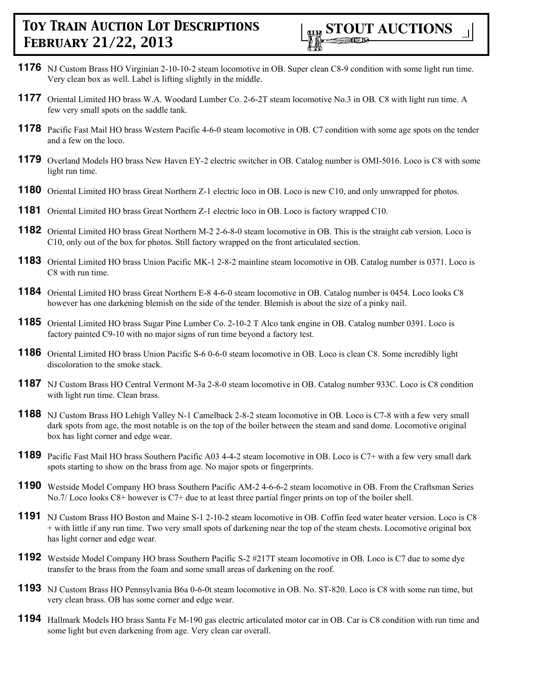- **1176** NJ Custom Brass HO Virginian 2-10-10-2 steam locomotive in OB. Super clean C8-9 condition with some light run time. Very clean box as well. Label is lifting slightly in the middle.
- **1177** Oriental Limited HO brass W.A. Woodard Lumber Co. 2-6-2T steam locomotive No.3 in OB. C8 with light run time. A few very small spots on the saddle tank.
- **1178** Pacific Fast Mail HO brass Western Pacific 4-6-0 steam locomotive in OB. C7 condition with some age spots on the tender and a few on the loco.
- **1179** Overland Models HO brass New Haven EY-2 electric switcher in OB. Catalog number is OMI-5016. Loco is C8 with some light run time.
- **1180** Oriental Limited HO brass Great Northern Z-1 electric loco in OB. Loco is new C10, and only unwrapped for photos.
- **1181** Oriental Limited HO brass Great Northern Z-1 electric loco in OB. Loco is factory wrapped C10.
- **1182** Oriental Limited HO brass Great Northern M-2 2-6-8-0 steam locomotive in OB. This is the straight cab version. Loco is C10, only out of the box for photos. Still factory wrapped on the front articulated section.
- **1183** Oriental Limited HO brass Union Pacific MK-1 2-8-2 mainline steam locomotive in OB. Catalog number is 0371. Loco is C8 with run time.
- **1184** Oriental Limited HO brass Great Northern E-8 4-6-0 steam locomotive in OB. Catalog number is 0454. Loco looks C8 however has one darkening blemish on the side of the tender. Blemish is about the size of a pinky nail.
- **1185** Oriental Limited HO brass Sugar Pine Lumber Co. 2-10-2 T Alco tank engine in OB. Catalog number 0391. Loco is factory painted C9-10 with no major signs of run time beyond a factory test.
- **1186** Oriental Limited HO brass Union Pacific S-6 0-6-0 steam locomotive in OB. Loco is clean C8. Some incredibly light discoloration to the smoke stack.
- **1187** NJ Custom Brass HO Central Vermont M-3a 2-8-0 steam locomotive in OB. Catalog number 933C. Loco is C8 condition with light run time. Clean brass.
- **1188** NJ Custom Brass HO Lehigh Valley N-1 Camelback 2-8-2 steam locomotive in OB. Loco is C7-8 with a few very small dark spots from age, the most notable is on the top of the boiler between the steam and sand dome. Locomotive original box has light corner and edge wear.
- **1189** Pacific Fast Mail HO brass Southern Pacific A03 4-4-2 steam locomotive in OB. Loco is C7+ with a few very small dark spots starting to show on the brass from age. No major spots or fingerprints.
- **1190** Westside Model Company HO brass Southern Pacific AM-2 4-6-6-2 steam locomotive in OB. From the Craftsman Series No.7/ Loco looks C8+ however is C7+ due to at least three partial finger prints on top of the boiler shell.
- **1191** NJ Custom Brass HO Boston and Maine S-1 2-10-2 steam locomotive in OB. Coffin feed water heater version. Loco is C8 + with little if any run time. Two very small spots of darkening near the top of the steam chests. Locomotive original box has light corner and edge wear.
- **1192** Westside Model Company HO brass Southern Pacific S-2 #217T steam locomotive in OB. Loco is C7 due to some dye transfer to the brass from the foam and some small areas of darkening on the roof.
- **1193** NJ Custom Brass HO Pennsylvania B6a 0-6-0t steam locomotive in OB. No. ST-820. Loco is C8 with some run time, but very clean brass. OB has some corner and edge wear.
- **1194** Hallmark Models HO brass Santa Fe M-190 gas electric articulated motor car in OB. Car is C8 condition with run time and some light but even darkening from age. Very clean car overall.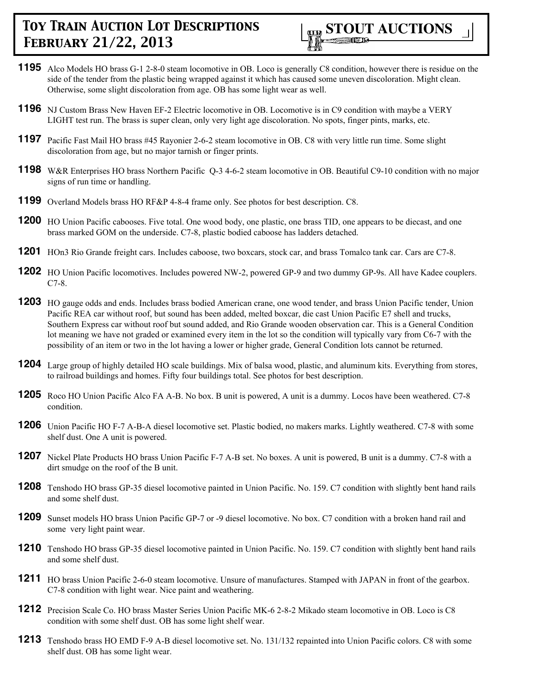

- **1195** Alco Models HO brass G-1 2-8-0 steam locomotive in OB. Loco is generally C8 condition, however there is residue on the side of the tender from the plastic being wrapped against it which has caused some uneven discoloration. Might clean. Otherwise, some slight discoloration from age. OB has some light wear as well.
- **1196** NJ Custom Brass New Haven EF-2 Electric locomotive in OB. Locomotive is in C9 condition with maybe a VERY LIGHT test run. The brass is super clean, only very light age discoloration. No spots, finger pints, marks, etc.
- **1197** Pacific Fast Mail HO brass #45 Rayonier 2-6-2 steam locomotive in OB. C8 with very little run time. Some slight discoloration from age, but no major tarnish or finger prints.
- **1198** W&R Enterprises HO brass Northern Pacific Q-3 4-6-2 steam locomotive in OB. Beautiful C9-10 condition with no major signs of run time or handling.
- **1199** Overland Models brass HO RF&P 4-8-4 frame only. See photos for best description. C8.
- **1200** HO Union Pacific cabooses. Five total. One wood body, one plastic, one brass TID, one appears to be diecast, and one brass marked GOM on the underside. C7-8, plastic bodied caboose has ladders detached.
- **1201** HOn3 Rio Grande freight cars. Includes caboose, two boxcars, stock car, and brass Tomalco tank car. Cars are C7-8.
- **1202** HO Union Pacific locomotives. Includes powered NW-2, powered GP-9 and two dummy GP-9s. All have Kadee couplers. C7-8.
- **1203** HO gauge odds and ends. Includes brass bodied American crane, one wood tender, and brass Union Pacific tender, Union Pacific REA car without roof, but sound has been added, melted boxcar, die cast Union Pacific E7 shell and trucks, Southern Express car without roof but sound added, and Rio Grande wooden observation car. This is a General Condition lot meaning we have not graded or examined every item in the lot so the condition will typically vary from C6-7 with the possibility of an item or two in the lot having a lower or higher grade, General Condition lots cannot be returned.
- **1204** Large group of highly detailed HO scale buildings. Mix of balsa wood, plastic, and aluminum kits. Everything from stores, to railroad buildings and homes. Fifty four buildings total. See photos for best description.
- **1205** Roco HO Union Pacific Alco FA A-B. No box. B unit is powered, A unit is a dummy. Locos have been weathered. C7-8 condition.
- **1206** Union Pacific HO F-7 A-B-A diesel locomotive set. Plastic bodied, no makers marks. Lightly weathered. C7-8 with some shelf dust. One A unit is powered.
- **1207** Nickel Plate Products HO brass Union Pacific F-7 A-B set. No boxes. A unit is powered, B unit is a dummy. C7-8 with a dirt smudge on the roof of the B unit.
- **1208** Tenshodo HO brass GP-35 diesel locomotive painted in Union Pacific. No. 159. C7 condition with slightly bent hand rails and some shelf dust.
- **1209** Sunset models HO brass Union Pacific GP-7 or -9 diesel locomotive. No box. C7 condition with a broken hand rail and some very light paint wear.
- **1210** Tenshodo HO brass GP-35 diesel locomotive painted in Union Pacific. No. 159. C7 condition with slightly bent hand rails and some shelf dust.
- **1211** HO brass Union Pacific 2-6-0 steam locomotive. Unsure of manufactures. Stamped with JAPAN in front of the gearbox. C7-8 condition with light wear. Nice paint and weathering.
- **1212** Precision Scale Co. HO brass Master Series Union Pacific MK-6 2-8-2 Mikado steam locomotive in OB. Loco is C8 condition with some shelf dust. OB has some light shelf wear.
- **1213** Tenshodo brass HO EMD F-9 A-B diesel locomotive set. No. 131/132 repainted into Union Pacific colors. C8 with some shelf dust. OB has some light wear.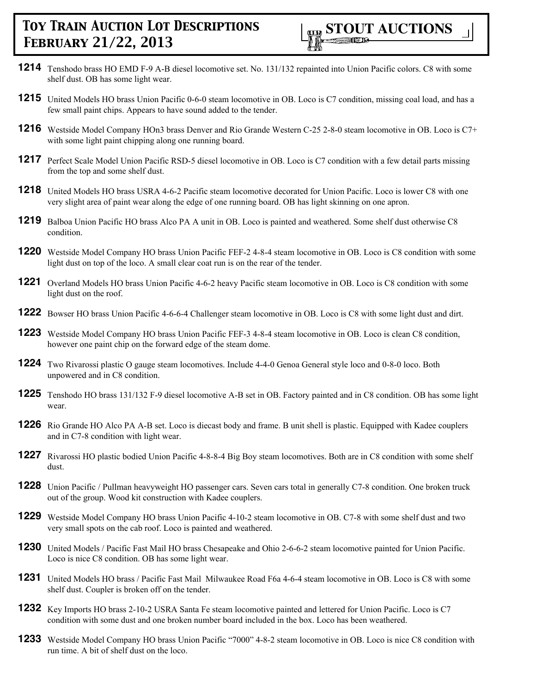- **1214** Tenshodo brass HO EMD F-9 A-B diesel locomotive set. No. 131/132 repainted into Union Pacific colors. C8 with some shelf dust. OB has some light wear.
- **1215** United Models HO brass Union Pacific 0-6-0 steam locomotive in OB. Loco is C7 condition, missing coal load, and has a few small paint chips. Appears to have sound added to the tender.
- **1216** Westside Model Company HOn3 brass Denver and Rio Grande Western C-25 2-8-0 steam locomotive in OB. Loco is C7+ with some light paint chipping along one running board.
- **1217** Perfect Scale Model Union Pacific RSD-5 diesel locomotive in OB. Loco is C7 condition with a few detail parts missing from the top and some shelf dust.
- **1218** United Models HO brass USRA 4-6-2 Pacific steam locomotive decorated for Union Pacific. Loco is lower C8 with one very slight area of paint wear along the edge of one running board. OB has light skinning on one apron.
- **1219** Balboa Union Pacific HO brass Alco PA A unit in OB. Loco is painted and weathered. Some shelf dust otherwise C8 condition.
- **1220** Westside Model Company HO brass Union Pacific FEF-2 4-8-4 steam locomotive in OB. Loco is C8 condition with some light dust on top of the loco. A small clear coat run is on the rear of the tender.
- **1221** Overland Models HO brass Union Pacific 4-6-2 heavy Pacific steam locomotive in OB. Loco is C8 condition with some light dust on the roof.
- **1222** Bowser HO brass Union Pacific 4-6-6-4 Challenger steam locomotive in OB. Loco is C8 with some light dust and dirt.
- **1223** Westside Model Company HO brass Union Pacific FEF-3 4-8-4 steam locomotive in OB. Loco is clean C8 condition, however one paint chip on the forward edge of the steam dome.
- **1224** Two Rivarossi plastic O gauge steam locomotives. Include 4-4-0 Genoa General style loco and 0-8-0 loco. Both unpowered and in C8 condition.
- **1225** Tenshodo HO brass 131/132 F-9 diesel locomotive A-B set in OB. Factory painted and in C8 condition. OB has some light wear.
- **1226** Rio Grande HO Alco PA A-B set. Loco is diecast body and frame. B unit shell is plastic. Equipped with Kadee couplers and in C7-8 condition with light wear.
- **1227** Rivarossi HO plastic bodied Union Pacific 4-8-8-4 Big Boy steam locomotives. Both are in C8 condition with some shelf dust.
- **1228** Union Pacific / Pullman heavyweight HO passenger cars. Seven cars total in generally C7-8 condition. One broken truck out of the group. Wood kit construction with Kadee couplers.
- **1229** Westside Model Company HO brass Union Pacific 4-10-2 steam locomotive in OB. C7-8 with some shelf dust and two very small spots on the cab roof. Loco is painted and weathered.
- **1230** United Models / Pacific Fast Mail HO brass Chesapeake and Ohio 2-6-6-2 steam locomotive painted for Union Pacific. Loco is nice C8 condition. OB has some light wear.
- **1231** United Models HO brass / Pacific Fast Mail Milwaukee Road F6a 4-6-4 steam locomotive in OB. Loco is C8 with some shelf dust. Coupler is broken off on the tender.
- **1232** Key Imports HO brass 2-10-2 USRA Santa Fe steam locomotive painted and lettered for Union Pacific. Loco is C7 condition with some dust and one broken number board included in the box. Loco has been weathered.
- **1233** Westside Model Company HO brass Union Pacific "7000" 4-8-2 steam locomotive in OB. Loco is nice C8 condition with run time. A bit of shelf dust on the loco.